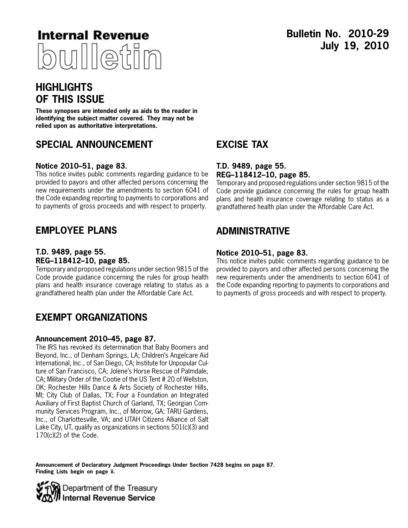

# **Bulletin No. 2010-29 July 19, 2010**

# **HIGHLIGHTS OF THIS ISSUE**

**These synopses are intended only as aids to the reader in identifying the subject matter covered. They may not be relied upon as authoritative interpretations.**

## **SPECIAL ANNOUNCEMENT**

### **Notice 2010–51, page [83.](#page-30-0)**

This notice invites public comments regarding guidance to be provided to payors and other affected persons concerning the new requirements under the amendments to section 6041 of the Code expanding reporting to payments to corporations and to payments of gross proceeds and with respect to property.

## **EMPLOYEE PLANS**

### **T.D. 9489, page [55](#page-2-0). REG–118412–10, page [85](#page-32-0).**

Temporary and proposed regulations under section 9815 of the Code provide guidance concerning the rules for group health plans and health insurance coverage relating to status as a grandfathered health plan under the Affordable Care Act.

## **EXEMPT ORGANIZATIONS**

#### **Announcement 2010–45, page [87.](#page-34-0)**

The IRS has revoked its determination that Baby Boomers and Beyond, Inc., of Denham Springs, LA; Children's Angelcare Aid International, Inc., of San Diego, CA; Institute for Unpopular Culture of San Francisco, CA; Jolene's Horse Rescue of Palmdale, CA; Military Order of the Cootie of the US Tent # 20 of Wellston, OK; Rochester Hills Dance & Arts Society of Rochester Hills, MI; City Club of Dallas, TX; Four a Foundation an Integrated Auxiliary of First Baptist Church of Garland, TX; Georgian Community Services Program, Inc., of Morrow, GA; TARU Gardens, Inc., of Charlottesville, VA; and UTAH Citizens Alliance of Salt Lake City, UT, qualify as organizations in sections 501(c)(3) and 170(c)(2) of the Code.

#### **Announcement of Declaratory Judgment Proceedings Under Section 7428 begins on page 87. Finding Lists begin on page ii.**



# **EXCISE TAX**

### **T.D. 9489, page [55](#page-2-0). REG–118412–10, page [85](#page-32-0).**

Temporary and proposed regulations under section 9815 of the Code provide guidance concerning the rules for group health plans and health insurance coverage relating to status as a grandfathered health plan under the Affordable Care Act.

## **ADMINISTRATIVE**

### **Notice 2010–51, page [83.](#page-30-0)**

This notice invites public comments regarding guidance to be provided to payors and other affected persons concerning the new requirements under the amendments to section 6041 of the Code expanding reporting to payments to corporations and to payments of gross proceeds and with respect to property.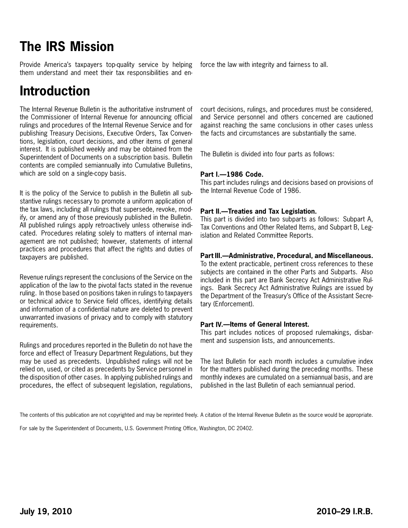# **The IRS Mission**

Provide America's taxpayers top-quality service by helping them understand and meet their tax responsibilities and en-

# **Introduction**

The Internal Revenue Bulletin is the authoritative instrument of the Commissioner of Internal Revenue for announcing official rulings and procedures of the Internal Revenue Service and for publishing Treasury Decisions, Executive Orders, Tax Conventions, legislation, court decisions, and other items of general interest. It is published weekly and may be obtained from the Superintendent of Documents on a subscription basis. Bulletin contents are compiled semiannually into Cumulative Bulletins, which are sold on a single-copy basis.

It is the policy of the Service to publish in the Bulletin all substantive rulings necessary to promote a uniform application of the tax laws, including all rulings that supersede, revoke, modify, or amend any of those previously published in the Bulletin. All published rulings apply retroactively unless otherwise indicated. Procedures relating solely to matters of internal management are not published; however, statements of internal practices and procedures that affect the rights and duties of taxpayers are published.

Revenue rulings represent the conclusions of the Service on the application of the law to the pivotal facts stated in the revenue ruling. In those based on positions taken in rulings to taxpayers or technical advice to Service field offices, identifying details and information of a confidential nature are deleted to prevent unwarranted invasions of privacy and to comply with statutory requirements.

Rulings and procedures reported in the Bulletin do not have the force and effect of Treasury Department Regulations, but they may be used as precedents. Unpublished rulings will not be relied on, used, or cited as precedents by Service personnel in the disposition of other cases. In applying published rulings and procedures, the effect of subsequent legislation, regulations,

force the law with integrity and fairness to all.

court decisions, rulings, and procedures must be considered, and Service personnel and others concerned are cautioned against reaching the same conclusions in other cases unless the facts and circumstances are substantially the same.

The Bulletin is divided into four parts as follows:

#### **Part I.—1986 Code.**

This part includes rulings and decisions based on provisions of the Internal Revenue Code of 1986.

#### **Part II.—Treaties and Tax Legislation.**

This part is divided into two subparts as follows: Subpart A, Tax Conventions and Other Related Items, and Subpart B, Legislation and Related Committee Reports.

### **Part III.—Administrative, Procedural, and Miscellaneous.**

To the extent practicable, pertinent cross references to these subjects are contained in the other Parts and Subparts. Also included in this part are Bank Secrecy Act Administrative Rulings. Bank Secrecy Act Administrative Rulings are issued by the Department of the Treasury's Office of the Assistant Secretary (Enforcement).

#### **Part IV.—Items of General Interest.**

This part includes notices of proposed rulemakings, disbarment and suspension lists, and announcements.

The last Bulletin for each month includes a cumulative index for the matters published during the preceding months. These monthly indexes are cumulated on a semiannual basis, and are published in the last Bulletin of each semiannual period.

For sale by the Superintendent of Documents, U.S. Government Printing Office, Washington, DC 20402.

The contents of this publication are not copyrighted and may be reprinted freely. A citation of the Internal Revenue Bulletin as the source would be appropriate.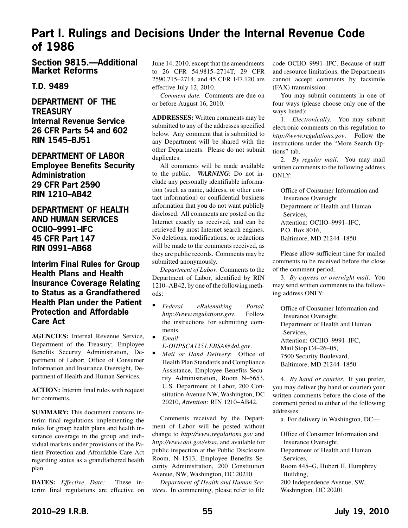# <span id="page-2-0"></span>**Part I. Rulings and Decisions Under the Internal Revenue Code of 1986**

**Section 9815.—Additional Market Reforms**

### **T.D. 9489**

**DEPARTMENT OF THE TREASURY Internal Revenue Service 26 CFR Parts 54 and 602 RIN 1545–BJ51**

**DEPARTMENT OF LABOR Employee Benefits Security Administration 29 CFR Part 2590 RIN 1210–AB42**

## **DEPARTMENT OF HEALTH AND HUMAN SERVICES OCIIO–9991–IFC 45 CFR Part 147 RIN 0991–AB68**

**Interim Final Rules for Group Health Plans and Health Insurance Coverage Relating to Status as a Grandfathered Health Plan under the Patient Protection and Affordable Care Act**

**AGENCIES:** Internal Revenue Service, Department of the Treasury; Employee Benefits Security Administration, Department of Labor; Office of Consumer Information and Insurance Oversight, Department of Health and Human Services.

**ACTION:** Interim final rules with request for comments.

**SUMMARY:** This document contains interim final regulations implementing the rules for group health plans and health insurance coverage in the group and individual markets under provisions of the Patient Protection and Affordable Care Act regarding status as a grandfathered health plan.

**DATES:** *Effective Date:* These interim final regulations are effective on June 14, 2010, except that the amendments to 26 CFR 54.9815–2714T, 29 CFR 2590.715–2714, and 45 CFR 147.120 are effective July 12, 2010.

*Comment date.* Comments are due on or before August 16, 2010.

**ADDRESSES:** Written comments may be submitted to any of the addresses specified below. Any comment that is submitted to any Department will be shared with the other Departments. Please do not submit duplicates.

All comments will be made available to the public. *WARNING*: Do not include any personally identifiable information (such as name, address, or other contact information) or confidential business information that you do not want publicly disclosed. All comments are posted on the Internet exactly as received, and can be retrieved by most Internet search engines. No deletions, modifications, or redactions will be made to the comments received, as they are public records. Comments may be submitted anonymously.

*Department of Labor*. Comments to the Department of Labor, identified by RIN 1210–AB42, by one of the following methods:

- *Federal eRulemaking Portal*: *http://www.regulations.gov*. Follow the instructions for submitting comments.
- *Email*: *E-OHPSCA1251.EBSA@dol.gov*.
- *Mail or Hand Delivery*: Office of Health Plan Standards and Compliance Assistance, Employee Benefits Security Administration, Room N–5653, U.S. Department of Labor, 200 Constitution Avenue NW, Washington, DC 20210, *Attention*: RIN 1210–AB42.

Comments received by the Department of Labor will be posted without change to *http://www.regulations.gov* and *http://www.dol.gov/ebsa*, and available for public inspection at the Public Disclosure Room, N–1513, Employee Benefits Security Administration, 200 Constitution Avenue, NW, Washington, DC 20210.

*Department of Health and Human Services*. In commenting, please refer to file code OCIIO–9991–IFC. Because of staff and resource limitations, the Departments cannot accept comments by facsimile (FAX) transmission.

You may submit comments in one of four ways (please choose only one of the ways listed):

1. *Electronically*. You may submit electronic comments on this regulation to *http://www.regulations.gov*. Follow the instructions under the "More Search Options" tab.

2. *By regular mail*. You may mail written comments to the following address ONLY:

Office of Consumer Information and Insurance Oversight Department of Health and Human Services, Attention: OCIIO–9991–IFC, P.O. Box 8016, Baltimore, MD 21244–1850.

Please allow sufficient time for mailed comments to be received before the close of the comment period.

3. *By express or overnight mail*. You may send written comments to the following address ONLY:

Office of Consumer Information and Insurance Oversight, Department of Health and Human Services, Attention: OCIIO–9991–IFC, Mail Stop C4–26–05, 7500 Security Boulevard, Baltimore, MD 21244–1850.

4. *By hand or courier*. If you prefer, you may deliver (by hand or courier) your written comments before the close of the comment period to either of the following addresses:

a. For delivery in Washington, DC—

Office of Consumer Information and Insurance Oversight, Department of Health and Human Services, Room 445–G, Hubert H. Humphrey Building, 200 Independence Avenue, SW,

Washington, DC 20201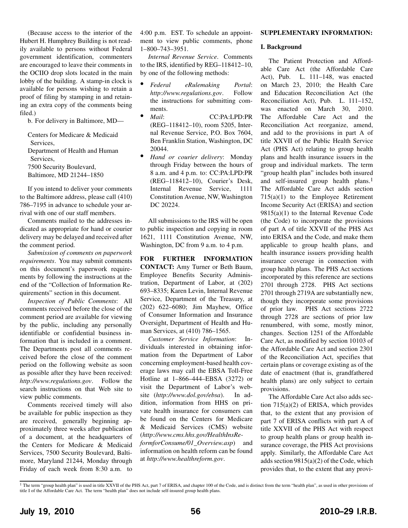(Because access to the interior of the Hubert H. Humphrey Building is not readily available to persons without Federal government identification, commenters are encouraged to leave their comments in the OCIIO drop slots located in the main lobby of the building. A stamp-in clock is available for persons wishing to retain a proof of filing by stamping in and retaining an extra copy of the comments being filed.)

b. For delivery in Baltimore, MD—

Centers for Medicare & Medicaid Services, Department of Health and Human Services, 7500 Security Boulevard, Baltimore, MD 21244–1850

If you intend to deliver your comments to the Baltimore address, please call (410) 786–7195 in advance to schedule your arrival with one of our staff members.

Comments mailed to the addresses indicated as appropriate for hand or courier delivery may be delayed and received after the comment period.

*Submission of comments on paperwork requirements*. You may submit comments on this document's paperwork requirements by following the instructions at the end of the "Collection of Information Requirements" section in this document.

*Inspection of Public Comments*: All comments received before the close of the comment period are available for viewing by the public, including any personally identifiable or confidential business information that is included in a comment. The Departments post all comments received before the close of the comment period on the following website as soon as possible after they have been received: *http://www.regulations.gov*. Follow the search instructions on that Web site to view public comments.

Comments received timely will also be available for public inspection as they are received, generally beginning approximately three weeks after publication of a document, at the headquarters of the Centers for Medicare & Medicaid Services, 7500 Security Boulevard, Baltimore, Maryland 21244, Monday through Friday of each week from 8:30 a.m. to

4:00 p.m. EST. To schedule an appointment to view public comments, phone 1–800–743–3951.

*Internal Revenue Service*. Comments to the IRS, identified by REG–118412–10, by one of the following methods:

- *Federal eRulemaking Portal*: *http://www.regulations.gov*. Follow the instructions for submitting comments.
- *Mail*: CC:PA:LPD:PR (REG–118412–10), room 5205, Internal Revenue Service, P.O. Box 7604, Ben Franklin Station, Washington, DC 20044.
- *Hand or courier delivery*: Monday through Friday between the hours of 8 a.m. and 4 p.m. to: CC:PA:LPD:PR (REG–118412–10), Courier's Desk, Internal Revenue Service, 1111 Constitution Avenue, NW, Washington DC 20224.

All submissions to the IRS will be open to public inspection and copying in room 1621, 1111 Constitution Avenue, NW, Washington, DC from 9 a.m. to 4 p.m.

**FOR FURTHER INFORMATION CONTACT:** Amy Turner or Beth Baum, Employee Benefits Security Administration, Department of Labor, at (202) 693–8335; Karen Levin, Internal Revenue Service, Department of the Treasury, at (202) 622–6080; Jim Mayhew, Office of Consumer Information and Insurance Oversight, Department of Health and Human Services, at (410) 786–1565.

*Customer Service Information*: Individuals interested in obtaining information from the Department of Labor concerning employment-based health coverage laws may call the EBSA Toll-Free Hotline at 1–866–444–EBSA (3272) or visit the Department of Labor's website (*http://www.dol.gov/ebsa*). In addition, information from HHS on private health insurance for consumers can be found on the Centers for Medicare & Medicaid Services (CMS) website (*http://www.cms.hhs.gov/HealthInsReformforConsume/01\_Overview.asp*) and

information on health reform can be found at *http://www.healthreform.gov*.

#### **SUPPLEMENTARY INFORMATION:**

#### **I. Background**

The Patient Protection and Affordable Care Act (the Affordable Care Act), Pub. L. 111–148, was enacted on March 23, 2010; the Health Care and Education Reconciliation Act (the Reconciliation Act), Pub. L. 111–152, was enacted on March 30, 2010. The Affordable Care Act and the Reconciliation Act reorganize, amend, and add to the provisions in part A of title XXVII of the Public Health Service Act (PHS Act) relating to group health plans and health insurance issuers in the group and individual markets. The term "group health plan" includes both insured and self-insured group health plans.<sup>1</sup> The Affordable Care Act adds section  $715(a)(1)$  to the Employee Retirement Income Security Act (ERISA) and section  $9815(a)(1)$  to the Internal Revenue Code (the Code) to incorporate the provisions of part A of title XXVII of the PHS Act into ERISA and the Code, and make them applicable to group health plans, and health insurance issuers providing health insurance coverage in connection with group health plans. The PHS Act sections incorporated by this reference are sections 2701 through 2728. PHS Act sections 2701 through 2719A are substantially new, though they incorporate some provisions of prior law. PHS Act sections 2722 through 2728 are sections of prior law renumbered, with some, mostly minor, changes. Section 1251 of the Affordable Care Act, as modified by section 10103 of the Affordable Care Act and section 2301 of the Reconciliation Act, specifies that certain plans or coverage existing as of the date of enactment (that is, grandfathered health plans) are only subject to certain provisions.

The Affordable Care Act also adds section 715(a)(2) of ERISA, which provides that, to the extent that any provision of part 7 of ERISA conflicts with part A of title XXVII of the PHS Act with respect to group health plans or group health insurance coverage, the PHS Act provisions apply. Similarly, the Affordable Care Act adds section 9815(a)(2) of the Code, which provides that, to the extent that any provi-

<sup>&</sup>lt;sup>1</sup> The term "group health plan" is used in title XXVII of the PHS Act, part 7 of ERISA, and chapter 100 of the Code, and is distinct from the term "health plan", as used in other provisions of title I of the Affordable Care Act. The term "health plan" does not include self-insured group health plans.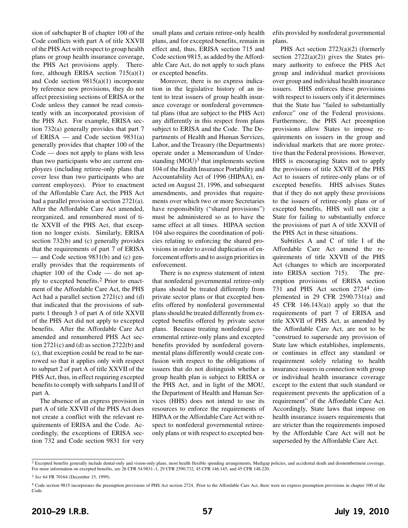sion of subchapter B of chapter 100 of the Code conflicts with part A of title XXVII of the PHS Act with respect to group health plans or group health insurance coverage, the PHS Act provisions apply. Therefore, although ERISA section 715(a)(1) and Code section 9815(a)(1) incorporate by reference new provisions, they do not affect preexisting sections of ERISA or the Code unless they cannot be read consistently with an incorporated provision of the PHS Act. For example, ERISA section 732(a) generally provides that part 7 of ERISA — and Code section  $9831(a)$ generally provides that chapter 100 of the Code — does not apply to plans with less than two participants who are current employees (including retiree-only plans that cover less than two participants who are current employees). Prior to enactment of the Affordable Care Act, the PHS Act had a parallel provision at section 2721(a). After the Affordable Care Act amended, reorganized, and renumbered most of title XXVII of the PHS Act, that exception no longer exists. Similarly, ERISA section 732(b) and (c) generally provides that the requirements of part 7 of ERISA — and Code section 9831(b) and (c) generally provides that the requirements of chapter 100 of the Code — do not apply to excepted benefits.2 Prior to enactment of the Affordable Care Act, the PHS Act had a parallel section 2721(c) and (d) that indicated that the provisions of subparts 1 through 3 of part A of title XXVII of the PHS Act did not apply to excepted benefits. After the Affordable Care Act amended and renumbered PHS Act section  $2721(c)$  and (d) as section  $2722(b)$  and (c), that exception could be read to be narrowed so that it applies only with respect to subpart 2 of part A of title XXVII of the PHS Act, thus, in effect requiring excepted benefits to comply with subparts I and II of part A.

The absence of an express provision in part A of title XXVII of the PHS Act does not create a conflict with the relevant requirements of ERISA and the Code. Accordingly, the exceptions of ERISA section 732 and Code section 9831 for very

small plans and certain retiree-only health plans, and for excepted benefits, remain in effect and, thus, ERISA section 715 and Code section 9815, as added by the Affordable Care Act, do not apply to such plans or excepted benefits.

Moreover, there is no express indication in the legislative history of an intent to treat issuers of group health insurance coverage or nonfederal governmental plans (that are subject to the PHS Act) any differently in this respect from plans subject to ERISA and the Code. The Departments of Health and Human Services, Labor, and the Treasury (the Departments) operate under a Memorandum of Understanding  $(MOU)<sup>3</sup>$  that implements section 104 of the Health Insurance Portability and Accountability Act of 1996 (HIPAA), enacted on August 21, 1996, and subsequent amendments, and provides that requirements over which two or more Secretaries have responsibility ("shared provisions") must be administered so as to have the same effect at all times. HIPAA section 104 also requires the coordination of policies relating to enforcing the shared provisions in order to avoid duplication of enforcement efforts and to assign priorities in enforcement.

There is no express statement of intent that nonfederal governmental retiree-only plans should be treated differently from private sector plans or that excepted benefits offered by nonfederal governmental plans should be treated differently from excepted benefits offered by private sector plans. Because treating nonfederal governmental retiree-only plans and excepted benefits provided by nonfederal governmental plans differently would create confusion with respect to the obligations of issuers that do not distinguish whether a group health plan is subject to ERISA or the PHS Act, and in light of the MOU, the Department of Health and Human Services (HHS) does not intend to use its resources to enforce the requirements of HIPAA or the Affordable Care Act with respect to nonfederal governmental retireeonly plans or with respect to excepted benefits provided by nonfederal governmental plans.

PHS Act section 2723(a)(2) (formerly section  $2722(a)(2)$  gives the States primary authority to enforce the PHS Act group and individual market provisions over group and individual health insurance issuers. HHS enforces these provisions with respect to issuers only if it determines that the State has "failed to substantially enforce" one of the Federal provisions. Furthermore, the PHS Act preemption provisions allow States to impose requirements on issuers in the group and individual markets that are more protective than the Federal provisions. However, HHS is encouraging States not to apply the provisions of title XXVII of the PHS Act to issuers of retiree-only plans or of excepted benefits. HHS advises States that if they do not apply these provisions to the issuers of retiree-only plans or of excepted benefits, HHS will not cite a State for failing to substantially enforce the provisions of part A of title XXVII of the PHS Act in these situations.

Subtitles A and C of title I of the Affordable Care Act amend the requirements of title XXVII of the PHS Act (changes to which are incorporated into ERISA section 715). The preemption provisions of ERISA section 731 and PHS Act section 2724<sup>4</sup> (implemented in 29 CFR 2590.731(a) and 45 CFR 146.143(a)) apply so that the requirements of part 7 of ERISA and title XXVII of PHS Act, as amended by the Affordable Care Act, are not to be "construed to supersede any provision of State law which establishes, implements, or continues in effect any standard or requirement solely relating to health insurance issuers in connection with group or individual health insurance coverage except to the extent that such standard or requirement prevents the application of a requirement" of the Affordable Care Act. Accordingly, State laws that impose on health insurance issuers requirements that are stricter than the requirements imposed by the Affordable Care Act will not be superseded by the Affordable Care Act.

<sup>&</sup>lt;sup>2</sup> Excepted benefits generally include dental-only and vision-only plans, most health flexible spending arrangements, Medigap policies, and accidental death and dismemberment coverage. For more information on excepted benefits, see 26 CFR 54.9831–1, 29 CFR 2590.732, 45 CFR 146.145, and 45 CFR 148.220.

<sup>3</sup> *See* 64 FR 70164 (December 15, 1999).

<sup>4</sup> Code section 9815 incorporates the preemption provisions of PHS Act section 2724. Prior to the Affordable Care Act, there were no express preemption provisions in chapter 100 of the Code.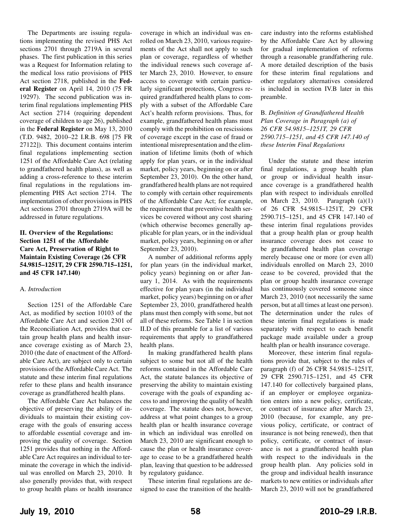The Departments are issuing regulations implementing the revised PHS Act sections 2701 through 2719A in several phases. The first publication in this series was a Request for Information relating to the medical loss ratio provisions of PHS Act section 2718, published in the **Federal Register** on April 14, 2010 (75 FR 19297). The second publication was interim final regulations implementing PHS Act section 2714 (requiring dependent coverage of children to age 26), published in the **Federal Register** on May 13, 2010 (T.D. 9482, 2010–22 I.R.B. 698 [75 FR 27122]). This document contains interim final regulations implementing section 1251 of the Affordable Care Act (relating to grandfathered health plans), as well as adding a cross-reference to these interim final regulations in the regulations implementing PHS Act section 2714. The implementation of other provisions in PHS Act sections 2701 through 2719A will be addressed in future regulations.

#### **II. Overview of the Regulations: Section 1251 of the Affordable Care Act, Preservation of Right to Maintain Existing Coverage (26 CFR 54.9815–1251T, 29 CFR 2590.715–1251, and 45 CFR 147.140)**

#### A. *Introduction*

Section 1251 of the Affordable Care Act, as modified by section 10103 of the Affordable Care Act and section 2301 of the Reconciliation Act, provides that certain group health plans and health insurance coverage existing as of March 23, 2010 (the date of enactment of the Affordable Care Act), are subject only to certain provisions of the Affordable Care Act. The statute and these interim final regulations refer to these plans and health insurance coverage as grandfathered health plans.

The Affordable Care Act balances the objective of preserving the ability of individuals to maintain their existing coverage with the goals of ensuring access to affordable essential coverage and improving the quality of coverage. Section 1251 provides that nothing in the Affordable Care Act requires an individual to terminate the coverage in which the individual was enrolled on March 23, 2010. It also generally provides that, with respect to group health plans or health insurance coverage in which an individual was enrolled on March 23, 2010, various requirements of the Act shall not apply to such plan or coverage, regardless of whether the individual renews such coverage after March 23, 2010. However, to ensure access to coverage with certain particularly significant protections, Congress required grandfathered health plans to comply with a subset of the Affordable Care Act's health reform provisions. Thus, for example, grandfathered health plans must comply with the prohibition on rescissions of coverage except in the case of fraud or intentional misrepresentation and the elimination of lifetime limits (both of which apply for plan years, or in the individual market, policy years, beginning on or after September 23, 2010). On the other hand, grandfathered health plans are not required to comply with certain other requirements of the Affordable Care Act; for example, the requirement that preventive health services be covered without any cost sharing (which otherwise becomes generally applicable for plan years, or in the individual market, policy years, beginning on or after September 23, 2010).

A number of additional reforms apply for plan years (in the individual market, policy years) beginning on or after January 1, 2014. As with the requirements effective for plan years (in the individual market, policy years) beginning on or after September 23, 2010, grandfathered health plans must then comply with some, but not all of these reforms. See Table 1 in section II.D of this preamble for a list of various requirements that apply to grandfathered health plans.

In making grandfathered health plans subject to some but not all of the health reforms contained in the Affordable Care Act, the statute balances its objective of preserving the ability to maintain existing coverage with the goals of expanding access to and improving the quality of health coverage. The statute does not, however, address at what point changes to a group health plan or health insurance coverage in which an individual was enrolled on March 23, 2010 are significant enough to cause the plan or health insurance coverage to cease to be a grandfathered health plan, leaving that question to be addressed by regulatory guidance.

These interim final regulations are designed to ease the transition of the healthcare industry into the reforms established by the Affordable Care Act by allowing for gradual implementation of reforms through a reasonable grandfathering rule. A more detailed description of the basis for these interim final regulations and other regulatory alternatives considered is included in section IV.B later in this preamble.

#### B. *Definition of Grandfathered Health Plan Coverage in Paragraph (a) of 26 CFR 54.9815–1251T, 29 CFR 2590.715–1251, and 45 CFR 147.140 of these Interim Final Regulations*

Under the statute and these interim final regulations, a group health plan or group or individual health insurance coverage is a grandfathered health plan with respect to individuals enrolled on March 23, 2010. Paragraph (a)(1) of 26 CFR 54.9815–1251T, 29 CFR 2590.715–1251, and 45 CFR 147.140 of these interim final regulations provides that a group health plan or group health insurance coverage does not cease to be grandfathered health plan coverage merely because one or more (or even all) individuals enrolled on March 23, 2010 cease to be covered, provided that the plan or group health insurance coverage has continuously covered someone since March 23, 2010 (not necessarily the same person, but at all times at least one person). The determination under the rules of these interim final regulations is made separately with respect to each benefit package made available under a group health plan or health insurance coverage.

Moreover, these interim final regulations provide that, subject to the rules of paragraph (f) of 26 CFR 54.9815–1251T, 29 CFR 2590.715–1251, and 45 CFR 147.140 for collectively bargained plans, if an employer or employee organization enters into a new policy, certificate, or contract of insurance after March 23, 2010 (because, for example, any previous policy, certificate, or contract of insurance is not being renewed), then that policy, certificate, or contract of insurance is not a grandfathered health plan with respect to the individuals in the group health plan. Any policies sold in the group and individual health insurance markets to new entities or individuals after March 23, 2010 will not be grandfathered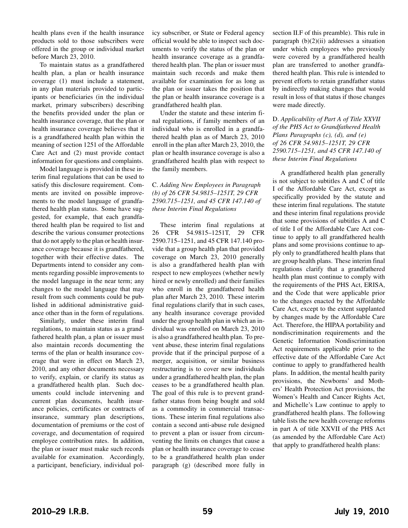health plans even if the health insurance products sold to those subscribers were offered in the group or individual market before March 23, 2010.

To maintain status as a grandfathered health plan, a plan or health insurance coverage (1) must include a statement, in any plan materials provided to participants or beneficiaries (in the individual market, primary subscribers) describing the benefits provided under the plan or health insurance coverage, that the plan or health insurance coverage believes that it is a grandfathered health plan within the meaning of section 1251 of the Affordable Care Act and (2) must provide contact information for questions and complaints.

Model language is provided in these interim final regulations that can be used to satisfy this disclosure requirement. Comments are invited on possible improvements to the model language of grandfathered health plan status. Some have suggested, for example, that each grandfathered health plan be required to list and describe the various consumer protections that do not apply to the plan or health insurance coverage because it is grandfathered, together with their effective dates. The Departments intend to consider any comments regarding possible improvements to the model language in the near term; any changes to the model language that may result from such comments could be published in additional administrative guidance other than in the form of regulations.

Similarly, under these interim final regulations, to maintain status as a grandfathered health plan, a plan or issuer must also maintain records documenting the terms of the plan or health insurance coverage that were in effect on March 23, 2010, and any other documents necessary to verify, explain, or clarify its status as a grandfathered health plan. Such documents could include intervening and current plan documents, health insurance policies, certificates or contracts of insurance, summary plan descriptions, documentation of premiums or the cost of coverage, and documentation of required employee contribution rates. In addition, the plan or issuer must make such records available for examination. Accordingly, a participant, beneficiary, individual policy subscriber, or State or Federal agency official would be able to inspect such documents to verify the status of the plan or health insurance coverage as a grandfathered health plan. The plan or issuer must maintain such records and make them available for examination for as long as the plan or issuer takes the position that the plan or health insurance coverage is a grandfathered health plan.

Under the statute and these interim final regulations, if family members of an individual who is enrolled in a grandfathered health plan as of March 23, 2010 enroll in the plan after March 23, 2010, the plan or health insurance coverage is also a grandfathered health plan with respect to the family members.

#### C. *Adding New Employees in Paragraph (b) of 26 CFR 54.9815–1251T, 29 CFR 2590.715–1251, and 45 CFR 147.140 of these Interim Final Regulations*

These interim final regulations at 26 CFR 54.9815–1251T, 29 CFR 2590.715–1251, and 45 CFR 147.140 provide that a group health plan that provided coverage on March 23, 2010 generally is also a grandfathered health plan with respect to new employees (whether newly hired or newly enrolled) and their families who enroll in the grandfathered health plan after March 23, 2010. These interim final regulations clarify that in such cases, any health insurance coverage provided under the group health plan in which an individual was enrolled on March 23, 2010 is also a grandfathered health plan. To prevent abuse, these interim final regulations provide that if the principal purpose of a merger, acquisition, or similar business restructuring is to cover new individuals under a grandfathered health plan, the plan ceases to be a grandfathered health plan. The goal of this rule is to prevent grandfather status from being bought and sold as a commodity in commercial transactions. These interim final regulations also contain a second anti-abuse rule designed to prevent a plan or issuer from circumventing the limits on changes that cause a plan or health insurance coverage to cease to be a grandfathered health plan under paragraph (g) (described more fully in section II.F of this preamble). This rule in paragraph  $(b)(2)(ii)$  addresses a situation under which employees who previously were covered by a grandfathered health plan are transferred to another grandfathered health plan. This rule is intended to prevent efforts to retain grandfather status by indirectly making changes that would result in loss of that status if those changes were made directly.

#### D. *Applicability of Part A of Title XXVII of the PHS Act to Grandfathered Health Plans Paragraphs (c), (d), and (e) of 26 CFR 54.9815–1251T, 29 CFR 2590.715–1251, and 45 CFR 147.140 of these Interim Final Regulations*

A grandfathered health plan generally is not subject to subtitles A and C of title I of the Affordable Care Act, except as specifically provided by the statute and these interim final regulations. The statute and these interim final regulations provide that some provisions of subtitles A and C of title I of the Affordable Care Act continue to apply to all grandfathered health plans and some provisions continue to apply only to grandfathered health plans that are group health plans. These interim final regulations clarify that a grandfathered health plan must continue to comply with the requirements of the PHS Act, ERISA, and the Code that were applicable prior to the changes enacted by the Affordable Care Act, except to the extent supplanted by changes made by the Affordable Care Act. Therefore, the HIPAA portability and nondiscrimination requirements and the Genetic Information Nondiscrimination Act requirements applicable prior to the effective date of the Affordable Care Act continue to apply to grandfathered health plans. In addition, the mental health parity provisions, the Newborns' and Mothers' Health Protection Act provisions, the Women's Health and Cancer Rights Act, and Michelle's Law continue to apply to grandfathered health plans. The following table lists the new health coverage reforms in part A of title XXVII of the PHS Act (as amended by the Affordable Care Act) that apply to grandfathered health plans: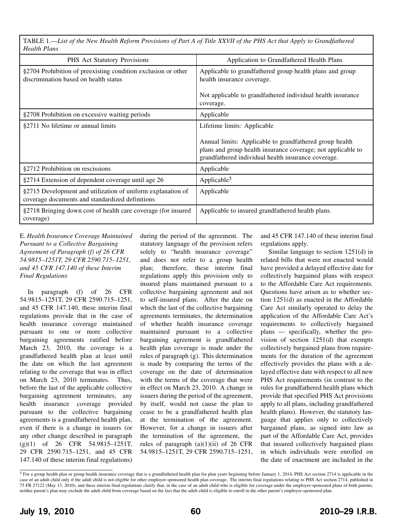TABLE 1.—*List of the New Health Reform Provisions of Part A of Title XXVII of the PHS Act that Apply to Grandfathered Health Plans*

| 11CLLL1L 1 LLLLN                                                                                               |                                                                                                                                                                                                               |
|----------------------------------------------------------------------------------------------------------------|---------------------------------------------------------------------------------------------------------------------------------------------------------------------------------------------------------------|
| <b>PHS</b> Act Statutory Provisions                                                                            | Application to Grandfathered Health Plans                                                                                                                                                                     |
| §2704 Prohibition of preexisting condition exclusion or other<br>discrimination based on health status         | Applicable to grandfathered group health plans and group<br>health insurance coverage.                                                                                                                        |
|                                                                                                                | Not applicable to grandfathered individual health insurance<br>coverage.                                                                                                                                      |
| §2708 Prohibition on excessive waiting periods                                                                 | Applicable                                                                                                                                                                                                    |
| §2711 No lifetime or annual limits                                                                             | Lifetime limits: Applicable<br>Annual limits: Applicable to grandfathered group health<br>plans and group health insurance coverage; not applicable to<br>grandfathered individual health insurance coverage. |
| §2712 Prohibition on rescissions                                                                               | Applicable                                                                                                                                                                                                    |
| §2714 Extension of dependent coverage until age 26                                                             | Applicable <sup>5</sup>                                                                                                                                                                                       |
| §2715 Development and utilization of uniform explanation of<br>coverage documents and standardized definitions | Applicable                                                                                                                                                                                                    |
| §2718 Bringing down cost of health care coverage (for insured<br>coverage)                                     | Applicable to insured grandfathered health plans.                                                                                                                                                             |

E. *Health Insurance Coverage Maintained Pursuant to a Collective Bargaining Agreement of Paragraph (f) of 26 CFR 54.9815–1251T, 29 CFR 2590.715–1251, and 45 CFR 147.140 of these Interim Final Regulations*

In paragraph (f) of 26 CFR 54.9815–1251T, 29 CFR 2590.715–1251, and 45 CFR 147.140, these interim final regulations provide that in the case of health insurance coverage maintained pursuant to one or more collective bargaining agreements ratified before March 23, 2010, the coverage is a grandfathered health plan at least until the date on which the last agreement relating to the coverage that was in effect on March 23, 2010 terminates. Thus, before the last of the applicable collective bargaining agreement terminates, any health insurance coverage provided pursuant to the collective bargaining agreements is a grandfathered health plan, even if there is a change in issuers (or any other change described in paragraph (g)(1) of 26 CFR 54.9815–1251T, 29 CFR 2590.715–1251, and 45 CFR 147.140 of these interim final regulations)

during the period of the agreement. The statutory language of the provision refers solely to "health insurance coverage" and does not refer to a group health plan; therefore, these interim final regulations apply this provision only to insured plans maintained pursuant to a collective bargaining agreement and not to self-insured plans. After the date on which the last of the collective bargaining agreements terminates, the determination of whether health insurance coverage maintained pursuant to a collective bargaining agreement is grandfathered health plan coverage is made under the rules of paragraph (g). This determination is made by comparing the terms of the coverage on the date of determination with the terms of the coverage that were in effect on March 23, 2010. A change in issuers during the period of the agreement, by itself, would not cause the plan to cease to be a grandfathered health plan at the termination of the agreement. However, for a change in issuers after the termination of the agreement, the rules of paragraph  $(a)(1)(ii)$  of 26 CFR 54.9815–1251T, 29 CFR 2590.715–1251,

and 45 CFR 147.140 of these interim final regulations apply.

Similar language to section 1251(d) in related bills that were not enacted would have provided a delayed effective date for collectively bargained plans with respect to the Affordable Care Act requirements. Questions have arisen as to whether section 1251(d) as enacted in the Affordable Care Act similarly operated to delay the application of the Affordable Care Act's requirements to collectively bargained plans — specifically, whether the provision of section 1251(d) that exempts collectively bargained plans from requirements for the duration of the agreement effectively provides the plans with a delayed effective date with respect to all new PHS Act requirements (in contrast to the rules for grandfathered health plans which provide that specified PHS Act provisions apply to all plans, including grandfathered health plans). However, the statutory language that applies only to collectively bargained plans, as signed into law as part of the Affordable Care Act, provides that insured collectively bargained plans in which individuals were enrolled on the date of enactment are included in the

 $\overline{5}$  For a group health plan or group health insurance coverage that is a grandfathered health plan for plan years beginning before January 1, 2014, PHS Act section 2714 is applicable in the case of an adult child only if the adult child is not eligible for other employer-sponsored health plan coverage. The interim final regulations relating to PHS Act section 2714, published in 75 FR 27122 (May 13, 2010), and these interim final regulations clarify that, in the case of an adult child who is eligible for coverage under the employer-sponsored plans of both parents, neither parent's plan may exclude the adult child from coverage based on the fact that the adult child is eligible to enroll in the other parent's employer-sponsored plan.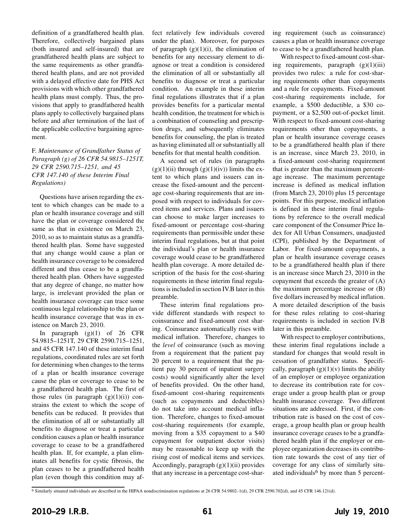definition of a grandfathered health plan. Therefore, collectively bargained plans (both insured and self-insured) that are grandfathered health plans are subject to the same requirements as other grandfathered health plans, and are not provided with a delayed effective date for PHS Act provisions with which other grandfathered health plans must comply. Thus, the provisions that apply to grandfathered health plans apply to collectively bargained plans before and after termination of the last of the applicable collective bargaining agreement.

F. *Maintenance of Grandfather Status of Paragraph (g) of 26 CFR 54.9815–1251T, 29 CFR 2590.715–1251, and 45 CFR 147.140 of these Interim Final Regulations)*

Questions have arisen regarding the extent to which changes can be made to a plan or health insurance coverage and still have the plan or coverage considered the same as that in existence on March 23, 2010, so as to maintain status as a grandfathered health plan. Some have suggested that any change would cause a plan or health insurance coverage to be considered different and thus cease to be a grandfathered health plan. Others have suggested that any degree of change, no matter how large, is irrelevant provided the plan or health insurance coverage can trace some continuous legal relationship to the plan or health insurance coverage that was in existence on March 23, 2010.

In paragraph  $(g)(1)$  of 26 CFR 54.9815–1251T, 29 CFR 2590.715–1251, and 45 CFR 147.140 of these interim final regulations, coordinated rules are set forth for determining when changes to the terms of a plan or health insurance coverage cause the plan or coverage to cease to be a grandfathered health plan. The first of those rules (in paragraph  $(g)(1)(i)$ ) constrains the extent to which the scope of benefits can be reduced. It provides that the elimination of all or substantially all benefits to diagnose or treat a particular condition causes a plan or health insurance coverage to cease to be a grandfathered health plan. If, for example, a plan eliminates all benefits for cystic fibrosis, the plan ceases to be a grandfathered health plan (even though this condition may affect relatively few individuals covered under the plan). Moreover, for purposes of paragraph  $(g)(1)(i)$ , the elimination of benefits for any necessary element to diagnose or treat a condition is considered the elimination of all or substantially all benefits to diagnose or treat a particular condition. An example in these interim final regulations illustrates that if a plan provides benefits for a particular mental health condition, the treatment for which is a combination of counseling and prescription drugs, and subsequently eliminates benefits for counseling, the plan is treated as having eliminated all or substantially all benefits for that mental health condition.

A second set of rules (in paragraphs  $(g)(1)(ii)$  through  $(g)(1)(iv)$  limits the extent to which plans and issuers can increase the fixed-amount and the percentage cost-sharing requirements that are imposed with respect to individuals for covered items and services. Plans and issuers can choose to make larger increases to fixed-amount or percentage cost-sharing requirements than permissible under these interim final regulations, but at that point the individual's plan or health insurance coverage would cease to be grandfathered health plan coverage. A more detailed description of the basis for the cost-sharing requirements in these interim final regulations is included in section IV.B later in this preamble.

These interim final regulations provide different standards with respect to coinsurance and fixed-amount cost sharing. Coinsurance automatically rises with medical inflation. Therefore, changes to the *level* of coinsurance (such as moving from a requirement that the patient pay 20 percent to a requirement that the patient pay 30 percent of inpatient surgery costs) would significantly alter the level of benefits provided. On the other hand, fixed-amount cost-sharing requirements (such as copayments and deductibles) do not take into account medical inflation. Therefore, changes to fixed-amount cost-sharing requirements (for example, moving from a \$35 copayment to a \$40 copayment for outpatient doctor visits) may be reasonable to keep up with the rising cost of medical items and services. Accordingly, paragraph  $(g)(1)(ii)$  provides that any increase in a percentage cost-sharing requirement (such as coinsurance) causes a plan or health insurance coverage to cease to be a grandfathered health plan.

With respect to fixed-amount cost-sharing requirements, paragraph  $(g)(1)(iii)$ provides two rules: a rule for cost-sharing requirements other than copayments and a rule for copayments. Fixed-amount cost-sharing requirements include, for example, a \$500 deductible, a \$30 copayment, or a \$2,500 out-of-pocket limit. With respect to fixed-amount cost-sharing requirements other than copayments, a plan or health insurance coverage ceases to be a grandfathered health plan if there is an increase, since March 23, 2010, in a fixed-amount cost-sharing requirement that is greater than the maximum percentage increase. The maximum percentage increase is defined as medical inflation (from March 23, 2010) plus 15 percentage points. For this purpose, medical inflation is defined in these interim final regulations by reference to the overall medical care component of the Consumer Price Index for All Urban Consumers, unadjusted (CPI), published by the Department of Labor. For fixed-amount copayments, a plan or health insurance coverage ceases to be a grandfathered health plan if there is an increase since March 23, 2010 in the copayment that exceeds the greater of (A) the maximum percentage increase or (B) five dollars increased by medical inflation. A more detailed description of the basis for these rules relating to cost-sharing requirements is included in section IV.B later in this preamble.

With respect to employer contributions, these interim final regulations include a standard for changes that would result in cessation of grandfather status. Specifically, paragraph  $(g)(1)(v)$  limits the ability of an employer or employee organization to decrease its contribution rate for coverage under a group health plan or group health insurance coverage. Two different situations are addressed. First, if the contribution rate is based on the cost of coverage, a group health plan or group health insurance coverage ceases to be a grandfathered health plan if the employer or employee organization decreases its contribution rate towards the cost of any tier of coverage for any class of similarly situated individuals<sup>6</sup> by more than 5 percent-

6 Similarly situated individuals are described in the HIPAA nondiscrimination regulations at 26 CFR 54.9802–1(d), 29 CFR 2590.702(d), and 45 CFR 146.121(d).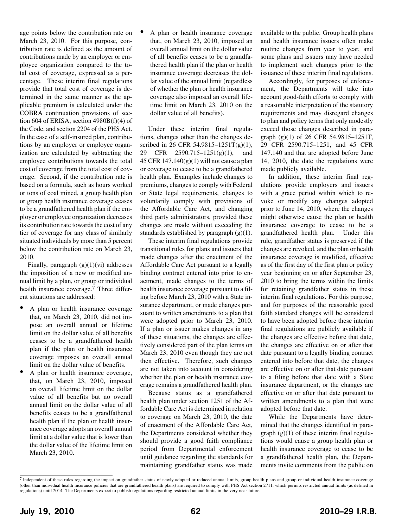age points below the contribution rate on March 23, 2010. For this purpose, contribution rate is defined as the amount of contributions made by an employer or employee organization compared to the total cost of coverage, expressed as a percentage. These interim final regulations provide that total cost of coverage is determined in the same manner as the applicable premium is calculated under the COBRA continuation provisions of section 604 of ERISA, section 4980B(f)(4) of the Code, and section 2204 of the PHS Act. In the case of a self-insured plan, contributions by an employer or employee organization are calculated by subtracting the employee contributions towards the total cost of coverage from the total cost of coverage. Second, if the contribution rate is based on a formula, such as hours worked or tons of coal mined, a group health plan or group health insurance coverage ceases to be a grandfathered health plan if the employer or employee organization decreases its contribution rate towards the cost of any tier of coverage for any class of similarly situated individuals by more than 5 percent below the contribution rate on March 23, 2010.

Finally, paragraph  $(g)(1)(vi)$  addresses the imposition of a new or modified annual limit by a plan, or group or individual health insurance coverage.<sup>7</sup> Three different situations are addressed:

- A plan or health insurance coverage that, on March 23, 2010, did not impose an overall annual or lifetime limit on the dollar value of all benefits ceases to be a grandfathered health plan if the plan or health insurance coverage imposes an overall annual limit on the dollar value of benefits.
- A plan or health insurance coverage, that, on March 23, 2010, imposed an overall lifetime limit on the dollar value of all benefits but no overall annual limit on the dollar value of all benefits ceases to be a grandfathered health plan if the plan or health insurance coverage adopts an overall annual limit at a dollar value that is lower than the dollar value of the lifetime limit on March 23, 2010.

A plan or health insurance coverage that, on March 23, 2010, imposed an overall annual limit on the dollar value of all benefits ceases to be a grandfathered health plan if the plan or health insurance coverage decreases the dollar value of the annual limit (regardless of whether the plan or health insurance coverage also imposed an overall lifetime limit on March 23, 2010 on the dollar value of all benefits).

Under these interim final regulations, changes other than the changes described in 26 CFR 54.9815-1251T(g)(1), 29 CFR 2590.715–1251(g)(1), and 45 CFR  $147.140(g)(1)$  will not cause a plan or coverage to cease to be a grandfathered health plan. Examples include changes to premiums, changes to comply with Federal or State legal requirements, changes to voluntarily comply with provisions of the Affordable Care Act, and changing third party administrators, provided these changes are made without exceeding the standards established by paragraph  $(g)(1)$ .

These interim final regulations provide transitional rules for plans and issuers that made changes after the enactment of the Affordable Care Act pursuant to a legally binding contract entered into prior to enactment, made changes to the terms of health insurance coverage pursuant to a filing before March 23, 2010 with a State insurance department, or made changes pursuant to written amendments to a plan that were adopted prior to March 23, 2010. If a plan or issuer makes changes in any of these situations, the changes are effectively considered part of the plan terms on March 23, 2010 even though they are not then effective. Therefore, such changes are not taken into account in considering whether the plan or health insurance coverage remains a grandfathered health plan.

Because status as a grandfathered health plan under section 1251 of the Affordable Care Act is determined in relation to coverage on March 23, 2010, the date of enactment of the Affordable Care Act, the Departments considered whether they should provide a good faith compliance period from Departmental enforcement until guidance regarding the standards for maintaining grandfather status was made

available to the public. Group health plans and health insurance issuers often make routine changes from year to year, and some plans and issuers may have needed to implement such changes prior to the issuance of these interim final regulations.

Accordingly, for purposes of enforcement, the Departments will take into account good-faith efforts to comply with a reasonable interpretation of the statutory requirements and may disregard changes to plan and policy terms that only modestly exceed those changes described in paragraph (g)(1) of 26 CFR 54.9815–1251T, 29 CFR 2590.715–1251, and 45 CFR 147.140 and that are adopted before June 14, 2010, the date the regulations were made publicly available.

In addition, these interim final regulations provide employers and issuers with a grace period within which to revoke or modify any changes adopted prior to June 14, 2010, where the changes might otherwise cause the plan or health insurance coverage to cease to be a grandfathered health plan. Under this rule, grandfather status is preserved if the changes are revoked, and the plan or health insurance coverage is modified, effective as of the first day of the first plan or policy year beginning on or after September 23, 2010 to bring the terms within the limits for retaining grandfather status in these interim final regulations. For this purpose, and for purposes of the reasonable good faith standard changes will be considered to have been adopted before these interim final regulations are publicly available if the changes are effective before that date, the changes are effective on or after that date pursuant to a legally binding contract entered into before that date, the changes are effective on or after that date pursuant to a filing before that date with a State insurance department, or the changes are effective on or after that date pursuant to written amendments to a plan that were adopted before that date.

While the Departments have determined that the changes identified in paragraph  $(g)(1)$  of these interim final regulations would cause a group health plan or health insurance coverage to cease to be a grandfathered health plan, the Departments invite comments from the public on

<sup>7</sup> Independent of these rules regarding the impact on grandfather status of newly adopted or reduced annual limits, group health plans and group or individual health insurance coverage (other than individual health insurance policies that are grandfathered health plans) are required to comply with PHS Act section 2711, which permits restricted annual limits (as defined in regulations) until 2014. The Departments expect to publish regulations regarding restricted annual limits in the very near future.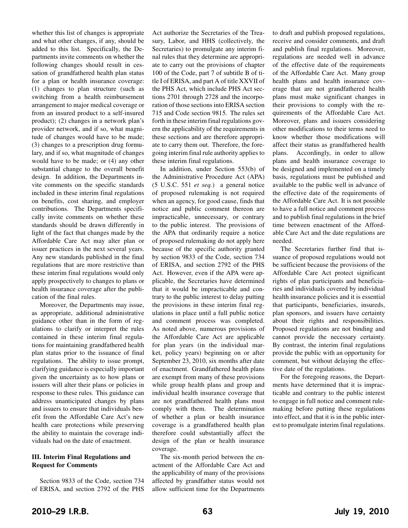whether this list of changes is appropriate and what other changes, if any, should be added to this list. Specifically, the Departments invite comments on whether the following changes should result in cessation of grandfathered health plan status for a plan or health insurance coverage: (1) changes to plan structure (such as switching from a health reimbursement arrangement to major medical coverage or from an insured product to a self-insured product); (2) changes in a network plan's provider network, and if so, what magnitude of changes would have to be made; (3) changes to a prescription drug formulary, and if so, what magnitude of changes would have to be made; or (4) any other substantial change to the overall benefit design. In addition, the Departments invite comments on the specific standards included in these interim final regulations on benefits, cost sharing, and employer contributions. The Departments specifically invite comments on whether these standards should be drawn differently in light of the fact that changes made by the Affordable Care Act may alter plan or issuer practices in the next several years. Any new standards published in the final regulations that are more restrictive than these interim final regulations would only apply prospectively to changes to plans or health insurance coverage after the publication of the final rules.

Moreover, the Departments may issue, as appropriate, additional administrative guidance other than in the form of regulations to clarify or interpret the rules contained in these interim final regulations for maintaining grandfathered health plan status prior to the issuance of final regulations. The ability to issue prompt, clarifying guidance is especially important given the uncertainty as to how plans or issuers will alter their plans or policies in response to these rules. This guidance can address unanticipated changes by plans and issuers to ensure that individuals benefit from the Affordable Care Act's new health care protections while preserving the ability to maintain the coverage individuals had on the date of enactment.

#### **III. Interim Final Regulations and Request for Comments**

Section 9833 of the Code, section 734 of ERISA, and section 2792 of the PHS Act authorize the Secretaries of the Treasury, Labor, and HHS (collectively, the Secretaries) to promulgate any interim final rules that they determine are appropriate to carry out the provisions of chapter 100 of the Code, part 7 of subtitle B of title I of ERISA, and part A of title XXVII of the PHS Act, which include PHS Act sections 2701 through 2728 and the incorporation of those sections into ERISA section 715 and Code section 9815. The rules set forth in these interim final regulations govern the applicability of the requirements in these sections and are therefore appropriate to carry them out. Therefore, the foregoing interim final rule authority applies to these interim final regulations.

In addition, under Section 553(b) of the Administrative Procedure Act (APA) (5 U.S.C. 551 *et seq.*) a general notice of proposed rulemaking is not required when an agency, for good cause, finds that notice and public comment thereon are impracticable, unnecessary, or contrary to the public interest. The provisions of the APA that ordinarily require a notice of proposed rulemaking do not apply here because of the specific authority granted by section 9833 of the Code, section 734 of ERISA, and section 2792 of the PHS Act. However, even if the APA were applicable, the Secretaries have determined that it would be impracticable and contrary to the public interest to delay putting the provisions in these interim final regulations in place until a full public notice and comment process was completed. As noted above, numerous provisions of the Affordable Care Act are applicable for plan years (in the individual market, policy years) beginning on or after September 23, 2010, six months after date of enactment. Grandfathered health plans are exempt from many of these provisions while group health plans and group and individual health insurance coverage that are not grandfathered health plans must comply with them. The determination of whether a plan or health insurance coverage is a grandfathered health plan therefore could substantially affect the design of the plan or health insurance coverage.

The six-month period between the enactment of the Affordable Care Act and the applicability of many of the provisions affected by grandfather status would not allow sufficient time for the Departments

to draft and publish proposed regulations, receive and consider comments, and draft and publish final regulations. Moreover, regulations are needed well in advance of the effective date of the requirements of the Affordable Care Act. Many group health plans and health insurance coverage that are not grandfathered health plans must make significant changes in their provisions to comply with the requirements of the Affordable Care Act. Moreover, plans and issuers considering other modifications to their terms need to know whether those modifications will affect their status as grandfathered health plans. Accordingly, in order to allow plans and health insurance coverage to be designed and implemented on a timely basis, regulations must be published and available to the public well in advance of the effective date of the requirements of the Affordable Care Act. It is not possible to have a full notice and comment process and to publish final regulations in the brief time between enactment of the Affordable Care Act and the date regulations are needed.

The Secretaries further find that issuance of proposed regulations would not be sufficient because the provisions of the Affordable Care Act protect significant rights of plan participants and beneficiaries and individuals covered by individual health insurance policies and it is essential that participants, beneficiaries, insureds, plan sponsors, and issuers have certainty about their rights and responsibilities. Proposed regulations are not binding and cannot provide the necessary certainty. By contrast, the interim final regulations provide the public with an opportunity for comment, but without delaying the effective date of the regulations.

For the foregoing reasons, the Departments have determined that it is impracticable and contrary to the public interest to engage in full notice and comment rulemaking before putting these regulations into effect, and that it is in the public interest to promulgate interim final regulations.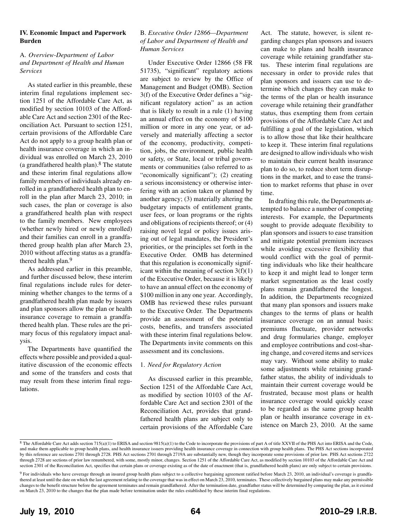#### **IV. Economic Impact and Paperwork Burden**

#### A. *Overview-Department of Labor and Department of Health and Human Services*

As stated earlier in this preamble, these interim final regulations implement section 1251 of the Affordable Care Act, as modified by section 10103 of the Affordable Care Act and section 2301 of the Reconciliation Act. Pursuant to section 1251, certain provisions of the Affordable Care Act do not apply to a group health plan or health insurance coverage in which an individual was enrolled on March 23, 2010 (a grandfathered health plan). $8$  The statute and these interim final regulations allow family members of individuals already enrolled in a grandfathered health plan to enroll in the plan after March 23, 2010; in such cases, the plan or coverage is also a grandfathered health plan with respect to the family members. New employees (whether newly hired or newly enrolled) and their families can enroll in a grandfathered group health plan after March 23, 2010 without affecting status as a grandfathered health plan.9

As addressed earlier in this preamble, and further discussed below, these interim final regulations include rules for determining whether changes to the terms of a grandfathered health plan made by issuers and plan sponsors allow the plan or health insurance coverage to remain a grandfathered health plan. These rules are the primary focus of this regulatory impact analysis.

The Departments have quantified the effects where possible and provided a qualitative discussion of the economic effects and some of the transfers and costs that may result from these interim final regulations.

#### B. *Executive Order 12866—Department of Labor and Department of Health and Human Services*

Under Executive Order 12866 (58 FR 51735), "significant" regulatory actions are subject to review by the Office of Management and Budget (OMB). Section 3(f) of the Executive Order defines a "significant regulatory action" as an action that is likely to result in a rule (1) having an annual effect on the economy of \$100 million or more in any one year, or adversely and materially affecting a sector of the economy, productivity, competition, jobs, the environment, public health or safety, or State, local or tribal governments or communities (also referred to as "economically significant"); (2) creating a serious inconsistency or otherwise interfering with an action taken or planned by another agency; (3) materially altering the budgetary impacts of entitlement grants, user fees, or loan programs or the rights and obligations of recipients thereof; or (4) raising novel legal or policy issues arising out of legal mandates, the President's priorities, or the principles set forth in the Executive Order. OMB has determined that this regulation is economically significant within the meaning of section  $3(f)(1)$ of the Executive Order, because it is likely to have an annual effect on the economy of \$100 million in any one year. Accordingly, OMB has reviewed these rules pursuant to the Executive Order. The Departments provide an assessment of the potential costs, benefits, and transfers associated with these interim final regulations below. The Departments invite comments on this assessment and its conclusions.

#### 1. *Need for Regulatory Action*

As discussed earlier in this preamble, Section 1251 of the Affordable Care Act, as modified by section 10103 of the Affordable Care Act and section 2301 of the Reconciliation Act, provides that grandfathered health plans are subject only to certain provisions of the Affordable Care

Act. The statute, however, is silent regarding changes plan sponsors and issuers can make to plans and health insurance coverage while retaining grandfather status. These interim final regulations are necessary in order to provide rules that plan sponsors and issuers can use to determine which changes they can make to the terms of the plan or health insurance coverage while retaining their grandfather status, thus exempting them from certain provisions of the Affordable Care Act and fulfilling a goal of the legislation, which is to allow those that like their healthcare to keep it. These interim final regulations are designed to allow individuals who wish to maintain their current health insurance plan to do so, to reduce short term disruptions in the market, and to ease the transition to market reforms that phase in over time.

In drafting this rule, the Departments attempted to balance a number of competing interests. For example, the Departments sought to provide adequate flexibility to plan sponsors and issuers to ease transition and mitigate potential premium increases while avoiding excessive flexibility that would conflict with the goal of permitting individuals who like their healthcare to keep it and might lead to longer term market segmentation as the least costly plans remain grandfathered the longest. In addition, the Departments recognized that many plan sponsors and issuers make changes to the terms of plans or health insurance coverage on an annual basis: premiums fluctuate, provider networks and drug formularies change, employer and employee contributions and cost-sharing change, and covered items and services may vary. Without some ability to make some adjustments while retaining grandfather status, the ability of individuals to maintain their current coverage would be frustrated, because most plans or health insurance coverage would quickly cease to be regarded as the same group health plan or health insurance coverage in existence on March 23, 2010. At the same

 $8$  The Affordable Care Act adds section 715(a)(1) to ERISA and section 9815(a)(1) to the Code to incorporate the provisions of part A of title XXVII of the PHS Act into ERISA and the Code, and make them applicable to group health plans, and health insurance issuers providing health insurance coverage in connection with group health plans. The PHS Act sections incorporated by this reference are sections 2701 through 2728. PHS Act sections 2701 through 2719A are substantially new, though they incorporate some provisions of prior law. PHS Act sections 2722 through 2728 are sections of prior law renumbered, with some, mostly minor, changes. Section 1251 of the Affordable Care Act, as modified by section 10103 of the Affordable Care Act and section 2301 of the Reconciliation Act, specifies that certain plans or coverage existing as of the date of enactment (that is, grandfathered health plans) are only subject to certain provisions.

<sup>9</sup> For individuals who have coverage through an insured group health plans subject to a collective bargaining agreement ratified before March 23, 2010, an individual's coverage is grandfathered at least until the date on which the last agreement relating to the coverage that was in effect on March 23, 2010, terminates. These collectively bargained plans may make any permissible changes to the benefit structure before the agreement terminates and remain grandfathered. After the termination date, grandfather status will be determined by comparing the plan, as it existed on March 23, 2010 to the changes that the plan made before termination under the rules established by these interim final regulations.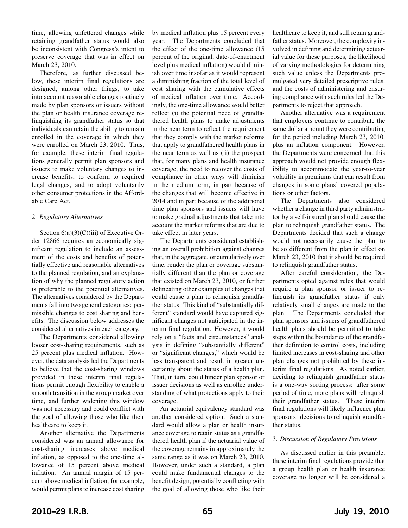time, allowing unfettered changes while retaining grandfather status would also be inconsistent with Congress's intent to preserve coverage that was in effect on March 23, 2010.

Therefore, as further discussed below, these interim final regulations are designed, among other things, to take into account reasonable changes routinely made by plan sponsors or issuers without the plan or health insurance coverage relinquishing its grandfather status so that individuals can retain the ability to remain enrolled in the coverage in which they were enrolled on March 23, 2010. Thus, for example, these interim final regulations generally permit plan sponsors and issuers to make voluntary changes to increase benefits, to conform to required legal changes, and to adopt voluntarily other consumer protections in the Affordable Care Act.

#### 2. *Regulatory Alternatives*

Section  $6(a)(3)(C)(iii)$  of Executive Order 12866 requires an economically significant regulation to include an assessment of the costs and benefits of potentially effective and reasonable alternatives to the planned regulation, and an explanation of why the planned regulatory action is preferable to the potential alternatives. The alternatives considered by the Departments fall into two general categories: permissible changes to cost sharing and benefits. The discussion below addresses the considered alternatives in each category.

The Departments considered allowing looser cost-sharing requirements, such as 25 percent plus medical inflation. However, the data analysis led the Departments to believe that the cost-sharing windows provided in these interim final regulations permit enough flexibility to enable a smooth transition in the group market over time, and further widening this window was not necessary and could conflict with the goal of allowing those who like their healthcare to keep it.

Another alternative the Departments considered was an annual allowance for cost-sharing increases above medical inflation, as opposed to the one-time allowance of 15 percent above medical inflation. An annual margin of 15 percent above medical inflation, for example, would permit plans to increase cost sharing

by medical inflation plus 15 percent every year. The Departments concluded that the effect of the one-time allowance (15 percent of the original, date-of-enactment level plus medical inflation) would diminish over time insofar as it would represent a diminishing fraction of the total level of cost sharing with the cumulative effects of medical inflation over time. Accordingly, the one-time allowance would better reflect (i) the potential need of grandfathered health plans to make adjustments in the near term to reflect the requirement that they comply with the market reforms that apply to grandfathered health plans in the near term as well as (ii) the prospect that, for many plans and health insurance coverage, the need to recover the costs of compliance in other ways will diminish in the medium term, in part because of the changes that will become effective in 2014 and in part because of the additional time plan sponsors and issuers will have to make gradual adjustments that take into account the market reforms that are due to take effect in later years.

The Departments considered establishing an overall prohibition against changes that, in the aggregate, or cumulatively over time, render the plan or coverage substantially different than the plan or coverage that existed on March 23, 2010, or further delineating other examples of changes that could cause a plan to relinquish grandfather status. This kind of "substantially different" standard would have captured significant changes not anticipated in the interim final regulation. However, it would rely on a "facts and circumstances" analysis in defining "substantially different" or "significant changes," which would be less transparent and result in greater uncertainty about the status of a health plan. That, in turn, could hinder plan sponsor or issuer decisions as well as enrollee understanding of what protections apply to their coverage.

An actuarial equivalency standard was another considered option. Such a standard would allow a plan or health insurance coverage to retain status as a grandfathered health plan if the actuarial value of the coverage remains in approximately the same range as it was on March 23, 2010. However, under such a standard, a plan could make fundamental changes to the benefit design, potentially conflicting with the goal of allowing those who like their

healthcare to keep it, and still retain grandfather status. Moreover, the complexity involved in defining and determining actuarial value for these purposes, the likelihood of varying methodologies for determining such value unless the Departments promulgated very detailed prescriptive rules, and the costs of administering and ensuring compliance with such rules led the Departments to reject that approach.

Another alternative was a requirement that employers continue to contribute the same dollar amount they were contributing for the period including March 23, 2010, plus an inflation component. However, the Departments were concerned that this approach would not provide enough flexibility to accommodate the year-to-year volatility in premiums that can result from changes in some plans' covered populations or other factors.

The Departments also considered whether a change in third party administrator by a self-insured plan should cause the plan to relinquish grandfather status. The Departments decided that such a change would not necessarily cause the plan to be so different from the plan in effect on March 23, 2010 that it should be required to relinquish grandfather status.

After careful consideration, the Departments opted against rules that would require a plan sponsor or issuer to relinquish its grandfather status if only relatively small changes are made to the plan. The Departments concluded that plan sponsors and issuers of grandfathered health plans should be permitted to take steps within the boundaries of the grandfather definition to control costs, including limited increases in cost-sharing and other plan changes not prohibited by these interim final regulations. As noted earlier, deciding to relinquish grandfather status is a one-way sorting process: after some period of time, more plans will relinquish their grandfather status. These interim final regulations will likely influence plan sponsors' decisions to relinquish grandfather status.

#### 3. *Discussion of Regulatory Provisions*

As discussed earlier in this preamble, these interim final regulations provide that a group health plan or health insurance coverage no longer will be considered a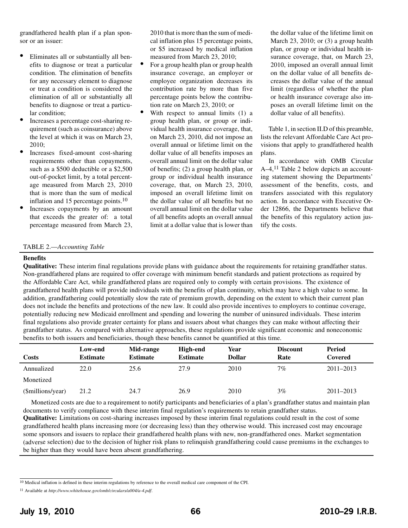grandfathered health plan if a plan sponsor or an issuer:

- Eliminates all or substantially all benefits to diagnose or treat a particular condition. The elimination of benefits for any necessary element to diagnose or treat a condition is considered the elimination of all or substantially all benefits to diagnose or treat a particular condition;
- Increases a percentage cost-sharing requirement (such as coinsurance) above the level at which it was on March 23, 2010;
- Increases fixed-amount cost-sharing requirements other than copayments, such as a \$500 deductible or a \$2,500 out-of-pocket limit, by a total percentage measured from March 23, 2010 that is more than the sum of medical inflation and 15 percentage points.<sup>10</sup>
- Increases copayments by an amount that exceeds the greater of: a total percentage measured from March 23,

2010 that is more than the sum of medical inflation plus 15 percentage points, or \$5 increased by medical inflation measured from March 23, 2010;

- For a group health plan or group health insurance coverage, an employer or employee organization decreases its contribution rate by more than five percentage points below the contribution rate on March 23, 2010; or
- With respect to annual limits  $(1)$  a group health plan, or group or individual health insurance coverage, that, on March 23, 2010, did not impose an overall annual or lifetime limit on the dollar value of all benefits imposes an overall annual limit on the dollar value of benefits; (2) a group health plan, or group or individual health insurance coverage, that, on March 23, 2010, imposed an overall lifetime limit on the dollar value of all benefits but no overall annual limit on the dollar value of all benefits adopts an overall annual limit at a dollar value that is lower than

the dollar value of the lifetime limit on March 23, 2010; or (3) a group health plan, or group or individual health insurance coverage, that, on March 23, 2010, imposed an overall annual limit on the dollar value of all benefits decreases the dollar value of the annual limit (regardless of whether the plan or health insurance coverage also imposes an overall lifetime limit on the dollar value of all benefits).

Table 1, in section II.D of this preamble, lists the relevant Affordable Care Act provisions that apply to grandfathered health plans.

In accordance with OMB Circular A–4,11 Table 2 below depicts an accounting statement showing the Departments' assessment of the benefits, costs, and transfers associated with this regulatory action. In accordance with Executive Order 12866, the Departments believe that the benefits of this regulatory action justify the costs.

#### TABLE 2.—*Accounting Table*

#### **Benefits**

**Qualitative:** These interim final regulations provide plans with guidance about the requirements for retaining grandfather status. Non-grandfathered plans are required to offer coverage with minimum benefit standards and patient protections as required by the Affordable Care Act, while grandfathered plans are required only to comply with certain provisions. The existence of grandfathered health plans will provide individuals with the benefits of plan continuity, which may have a high value to some. In addition, grandfathering could potentially slow the rate of premium growth, depending on the extent to which their current plan does not include the benefits and protections of the new law. It could also provide incentives to employers to continue coverage, potentially reducing new Medicaid enrollment and spending and lowering the number of uninsured individuals. These interim final regulations also provide greater certainty for plans and issuers about what changes they can make without affecting their grandfather status. As compared with alternative approaches, these regulations provide significant economic and noneconomic benefits to both issuers and beneficiaries, though these benefits cannot be quantified at this time.

| Costs             | Low-end<br><b>Estimate</b> | Mid-range<br><b>Estimate</b> | High-end<br><b>Estimate</b> | Year<br><b>Dollar</b> | <b>Discount</b><br>Rate | Period<br>Covered |
|-------------------|----------------------------|------------------------------|-----------------------------|-----------------------|-------------------------|-------------------|
| Annualized        | 22.0                       | 25.6                         | 27.9                        | 2010                  | $7\%$                   | $2011 - 2013$     |
| Monetized         |                            |                              |                             |                       |                         |                   |
| (\$millions/year) | 21.2                       | 24.7                         | 26.9                        | 2010                  | 3%                      | $2011 - 2013$     |

Monetized costs are due to a requirement to notify participants and beneficiaries of a plan's grandfather status and maintain plan documents to verify compliance with these interim final regulation's requirements to retain grandfather status.

**Qualitative:** Limitations on cost-sharing increases imposed by these interim final regulations could result in the cost of some grandfathered health plans increasing more (or decreasing less) than they otherwise would. This increased cost may encourage some sponsors and issuers to replace their grandfathered health plans with new, non-grandfathered ones. Market segmentation (adverse selection) due to the decision of higher risk plans to relinquish grandfathering could cause premiums in the exchanges to be higher than they would have been absent grandfathering.

<sup>10</sup> Medical inflation is defined in these interim regulations by reference to the overall medical care component of the CPI.

<sup>11</sup> Available at *http://www.whitehouse.gov/omb/circulars/a004/a-4.pdf*.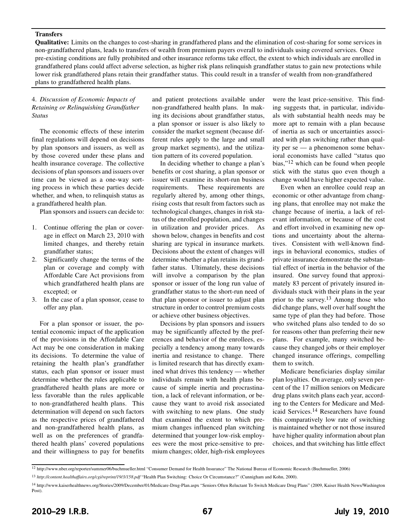#### **Transfers**

**Qualitative:** Limits on the changes to cost-sharing in grandfathered plans and the elimination of cost-sharing for some services in non-grandfathered plans, leads to transfers of wealth from premium payers overall to individuals using covered services. Once pre-existing conditions are fully prohibited and other insurance reforms take effect, the extent to which individuals are enrolled in grandfathered plans could affect adverse selection, as higher risk plans relinquish grandfather status to gain new protections while lower risk grandfathered plans retain their grandfather status. This could result in a transfer of wealth from non-grandfathered plans to grandfathered health plans.

#### 4. *Discussion of Economic Impacts of Retaining or Relinquishing Grandfather Status*

The economic effects of these interim final regulations will depend on decisions by plan sponsors and issuers, as well as by those covered under these plans and health insurance coverage. The collective decisions of plan sponsors and issuers over time can be viewed as a one-way sorting process in which these parties decide whether, and when, to relinquish status as a grandfathered health plan.

Plan sponsors and issuers can decide to:

- 1. Continue offering the plan or coverage in effect on March 23, 2010 with limited changes, and thereby retain grandfather status;
- 2. Significantly change the terms of the plan or coverage and comply with Affordable Care Act provisions from which grandfathered health plans are excepted; or
- 3. In the case of a plan sponsor, cease to offer any plan.

For a plan sponsor or issuer, the potential economic impact of the application of the provisions in the Affordable Care Act may be one consideration in making its decisions. To determine the value of retaining the health plan's grandfather status, each plan sponsor or issuer must determine whether the rules applicable to grandfathered health plans are more or less favorable than the rules applicable to non-grandfathered health plans. This determination will depend on such factors as the respective prices of grandfathered and non-grandfathered health plans, as well as on the preferences of grandfathered health plans' covered populations and their willingness to pay for benefits

and patient protections available under non-grandfathered health plans. In making its decisions about grandfather status, a plan sponsor or issuer is also likely to consider the market segment (because different rules apply to the large and small group market segments), and the utilization pattern of its covered population.

In deciding whether to change a plan's benefits or cost sharing, a plan sponsor or issuer will examine its short-run business requirements. These requirements are regularly altered by, among other things, rising costs that result from factors such as technological changes, changes in risk status of the enrolled population, and changes in utilization and provider prices. As shown below, changes in benefits and cost sharing are typical in insurance markets. Decisions about the extent of changes will determine whether a plan retains its grandfather status. Ultimately, these decisions will involve a comparison by the plan sponsor or issuer of the long run value of grandfather status to the short-run need of that plan sponsor or issuer to adjust plan structure in order to control premium costs or achieve other business objectives.

Decisions by plan sponsors and issuers may be significantly affected by the preferences and behavior of the enrollees, especially a tendency among many towards inertia and resistance to change. There is limited research that has directly examined what drives this tendency — whether individuals remain with health plans because of simple inertia and procrastination, a lack of relevant information, or because they want to avoid risk associated with switching to new plans. One study that examined the extent to which premium changes influenced plan switching determined that younger low-risk employees were the most price-sensitive to premium changes; older, high-risk employees

were the least price-sensitive. This finding suggests that, in particular, individuals with substantial health needs may be more apt to remain with a plan because of inertia as such or uncertainties associated with plan switching rather than quality per se — a phenomenon some behavioral economists have called "status quo bias,"12 which can be found when people stick with the status quo even though a change would have higher expected value.

Even when an enrollee could reap an economic or other advantage from changing plans, that enrollee may not make the change because of inertia, a lack of relevant information, or because of the cost and effort involved in examining new options and uncertainty about the alternatives. Consistent with well-known findings in behavioral economics, studies of private insurance demonstrate the substantial effect of inertia in the behavior of the insured. One survey found that approximately 83 percent of privately insured individuals stuck with their plans in the year prior to the survey.13 Among those who did change plans, well over half sought the same type of plan they had before. Those who switched plans also tended to do so for reasons other than preferring their new plans. For example, many switched because they changed jobs or their employer changed insurance offerings, compelling them to switch.

Medicare beneficiaries display similar plan loyalties. On average, only seven percent of the 17 million seniors on Medicare drug plans switch plans each year, according to the Centers for Medicare and Medicaid Services.14 Researchers have found this comparatively low rate of switching is maintained whether or not those insured have higher quality information about plan choices, and that switching has little effect

<sup>12</sup> http://www.nber.org/reporter/summer06/buchmueller.html "Consumer Demand for Health Insurance" The National Bureau of Economic Research (Buchmueller, 2006)

<sup>13</sup> *http://content.healthaffairs.org/cgi/reprint/19/3/158.pdf* "Health Plan Switching: Choice Or Circumstance?" (Cunnigham and Kohn, 2000).

<sup>14</sup> http://www.kaiserhealthnews.org/Stories/2009/December/01/Medicare-Drug-Plan.aspx "Seniors Often Reluctant To Switch Medicare Drug Plans" (2009, Kaiser Health News/Washington Post).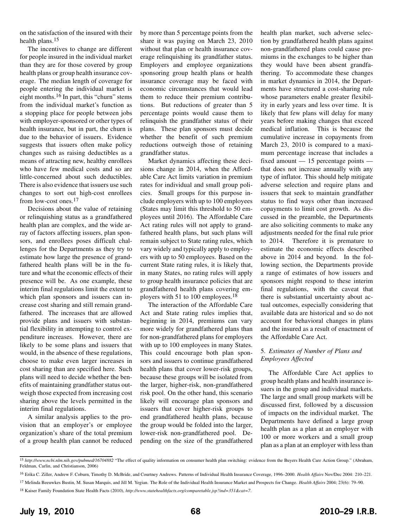on the satisfaction of the insured with their health plans.15

The incentives to change are different for people insured in the individual market than they are for those covered by group health plans or group health insurance coverage. The median length of coverage for people entering the individual market is eight months.16 In part, this "churn" stems from the individual market's function as a stopping place for people between jobs with employer-sponsored or other types of health insurance, but in part, the churn is due to the behavior of issuers. Evidence suggests that issuers often make policy changes such as raising deductibles as a means of attracting new, healthy enrollees who have few medical costs and so are little-concerned about such deductibles. There is also evidence that issuers use such changes to sort out high-cost enrollees from low-cost ones.17

Decisions about the value of retaining or relinquishing status as a grandfathered health plan are complex, and the wide array of factors affecting issuers, plan sponsors, and enrollees poses difficult challenges for the Departments as they try to estimate how large the presence of grandfathered health plans will be in the future and what the economic effects of their presence will be. As one example, these interim final regulations limit the extent to which plan sponsors and issuers can increase cost sharing and still remain grandfathered. The increases that are allowed provide plans and issuers with substantial flexibility in attempting to control expenditure increases. However, there are likely to be some plans and issuers that would, in the absence of these regulations, choose to make even larger increases in cost sharing than are specified here. Such plans will need to decide whether the benefits of maintaining grandfather status outweigh those expected from increasing cost sharing above the levels permitted in the interim final regulations.

A similar analysis applies to the provision that an employer's or employee organization's share of the total premium of a group health plan cannot be reduced

by more than 5 percentage points from the share it was paying on March 23, 2010 without that plan or health insurance coverage relinquishing its grandfather status. Employers and employee organizations sponsoring group health plans or health insurance coverage may be faced with economic circumstances that would lead them to reduce their premium contributions. But reductions of greater than 5 percentage points would cause them to relinquish the grandfather status of their plans. These plan sponsors must decide whether the benefit of such premium reductions outweigh those of retaining grandfather status.

Market dynamics affecting these decisions change in 2014, when the Affordable Care Act limits variation in premium rates for individual and small group policies. Small groups for this purpose include employers with up to 100 employees (States may limit this threshold to 50 employees until 2016). The Affordable Care Act rating rules will not apply to grandfathered health plans, but such plans will remain subject to State rating rules, which vary widely and typically apply to employers with up to 50 employees. Based on the current State rating rules, it is likely that, in many States, no rating rules will apply to group health insurance policies that are grandfathered health plans covering employers with 51 to 100 employees.18

The interaction of the Affordable Care Act and State rating rules implies that, beginning in 2014, premiums can vary more widely for grandfathered plans than for non-grandfathered plans for employers with up to 100 employees in many States. This could encourage both plan sponsors and issuers to continue grandfathered health plans that cover lower-risk groups, because these groups will be isolated from the larger, higher-risk, non-grandfathered risk pool. On the other hand, this scenario likely will encourage plan sponsors and issuers that cover higher-risk groups to end grandfathered health plans, because the group would be folded into the larger, lower-risk non-grandfathered pool. Depending on the size of the grandfathered health plan market, such adverse selection by grandfathered health plans against non-grandfathered plans could cause premiums in the exchanges to be higher than they would have been absent grandfathering. To accommodate these changes in market dynamics in 2014, the Departments have structured a cost-sharing rule whose parameters enable greater flexibility in early years and less over time. It is likely that few plans will delay for many years before making changes that exceed medical inflation. This is because the cumulative increase in copayments from March 23, 2010 is compared to a maximum percentage increase that includes a fixed amount — 15 percentage points that does not increase annually with any type of inflator. This should help mitigate adverse selection and require plans and issuers that seek to maintain grandfather status to find ways other than increased copayments to limit cost growth. As discussed in the preamble, the Departments are also soliciting comments to make any adjustments needed for the final rule prior to 2014. Therefore it is premature to estimate the economic effects described above in 2014 and beyond. In the following section, the Departments provide a range of estimates of how issuers and sponsors might respond to these interim final regulations, with the caveat that there is substantial uncertainty about actual outcomes, especially considering that available data are historical and so do not account for behavioral changes in plans and the insured as a result of enactment of the Affordable Care Act.

#### 5. *Estimates of Number of Plans and Employees Affected*

The Affordable Care Act applies to group health plans and health insurance issuers in the group and individual markets. The large and small group markets will be discussed first, followed by a discussion of impacts on the individual market. The Departments have defined a large group health plan as a plan at an employer with 100 or more workers and a small group plan as a plan at an employer with less than

<sup>&</sup>lt;sup>15</sup> http://www.ncbi.nlm.nih.gov/pubmed/16704882 "The effect of quality information on consumer health plan switching: evidence from the Buyers Health Care Action Group." (Abraham, Feldman, Carlin, and Christianson, 2006)

<sup>16</sup> Erika C. Ziller, Andrew F. Coburn, Timothy D. McBride, and Courtney Andrews. Patterns of Individual Health Insurance Coverage, 1996–2000. *Health Affairs* Nov/Dec 2004: 210–221.

<sup>17</sup> Melinda Beeuwkes Bustin, M. Susan Marquis, and Jill M. Yegian. The Role of the Individual Health Insurance Market and Prospects for Change. *Health Affairs* 2004; 23(6): 79–90.

<sup>18</sup> Kaiser Family Foundation State Health Facts (2010), *http://www.statehealthfacts.org/comparetable.jsp?ind=351&cat=7*.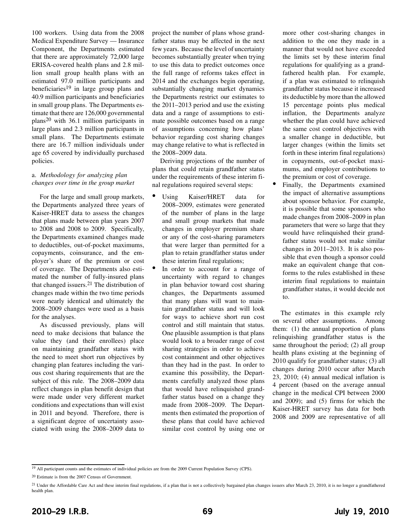100 workers. Using data from the 2008 Medical Expenditure Survey — Insurance Component, the Departments estimated that there are approximately 72,000 large ERISA-covered health plans and 2.8 million small group health plans with an estimated 97.0 million participants and beneficiaries<sup>19</sup> in large group plans and 40.9 million participants and beneficiaries in small group plans. The Departments estimate that there are 126,000 governmental plans20 with 36.1 million participants in large plans and 2.3 million participants in small plans. The Departments estimate there are 16.7 million individuals under age 65 covered by individually purchased policies.

#### a. *Methodology for analyzing plan changes over time in the group market*

For the large and small group markets, the Departments analyzed three years of Kaiser-HRET data to assess the changes that plans made between plan years 2007 to 2008 and 2008 to 2009. Specifically, the Departments examined changes made to deductibles, out-of-pocket maximums, copayments, coinsurance, and the employer's share of the premium or cost of coverage. The Departments also estimated the number of fully-insured plans that changed issuers.21 The distribution of changes made within the two time periods were nearly identical and ultimately the 2008–2009 changes were used as a basis for the analyses.

As discussed previously, plans will need to make decisions that balance the value they (and their enrollees) place on maintaining grandfather status with the need to meet short run objectives by changing plan features including the various cost sharing requirements that are the subject of this rule. The 2008–2009 data reflect changes in plan benefit design that were made under very different market conditions and expectations than will exist in 2011 and beyond. Therefore, there is a significant degree of uncertainty associated with using the 2008–2009 data to

project the number of plans whose grandfather status may be affected in the next few years. Because the level of uncertainty becomes substantially greater when trying to use this data to predict outcomes once the full range of reforms takes effect in 2014 and the exchanges begin operating, substantially changing market dynamics the Departments restrict our estimates to the 2011–2013 period and use the existing data and a range of assumptions to estimate possible outcomes based on a range of assumptions concerning how plans' behavior regarding cost sharing changes may change relative to what is reflected in the 2008–2009 data.

Deriving projections of the number of plans that could retain grandfather status under the requirements of these interim final regulations required several steps:

- Using Kaiser/HRET data for 2008–2009, estimates were generated of the number of plans in the large and small group markets that made changes in employer premium share or any of the cost-sharing parameters that were larger than permitted for a plan to retain grandfather status under these interim final regulations;
- In order to account for a range of uncertainty with regard to changes in plan behavior toward cost sharing changes, the Departments assumed that many plans will want to maintain grandfather status and will look for ways to achieve short run cost control and still maintain that status. One plausible assumption is that plans would look to a broader range of cost sharing strategies in order to achieve cost containment and other objectives than they had in the past. In order to examine this possibility, the Departments carefully analyzed those plans that would have relinquished grandfather status based on a change they made from 2008–2009. The Departments then estimated the proportion of these plans that could have achieved similar cost control by using one or

more other cost-sharing changes in addition to the one they made in a manner that would not have exceeded the limits set by these interim final regulations for qualifying as a grandfathered health plan. For example, if a plan was estimated to relinquish grandfather status because it increased its deductible by more than the allowed 15 percentage points plus medical inflation, the Departments analyze whether the plan could have achieved the same cost control objectives with a smaller change in deductible, but larger changes (within the limits set forth in these interim final regulations) in copayments, out-of-pocket maximums, and employer contributions to the premium or cost of coverage.

• Finally, the Departments examined the impact of alternative assumptions about sponsor behavior. For example, it is possible that some sponsors who made changes from 2008–2009 in plan parameters that were so large that they would have relinquished their grandfather status would not make similar changes in 2011–2013. It is also possible that even though a sponsor could make an equivalent change that conforms to the rules established in these interim final regulations to maintain grandfather status, it would decide not to.

The estimates in this example rely on several other assumptions. Among them: (1) the annual proportion of plans relinquishing grandfather status is the same throughout the period; (2) all group health plans existing at the beginning of 2010 qualify for grandfather status; (3) all changes during 2010 occur after March 23, 2010; (4) annual medical inflation is 4 percent (based on the average annual change in the medical CPI between 2000 and 2009); and (5) firms for which the Kaiser-HRET survey has data for both 2008 and 2009 are representative of all

<sup>19</sup> All participant counts and the estimates of individual policies are from the 2009 Current Population Survey (CPS).

<sup>20</sup> Estimate is from the 2007 Census of Government.

<sup>21</sup> Under the Affordable Care Act and these interim final regulations, if a plan that is not a collectively bargained plan changes issuers after March 23, 2010, it is no longer a grandfathered health plan.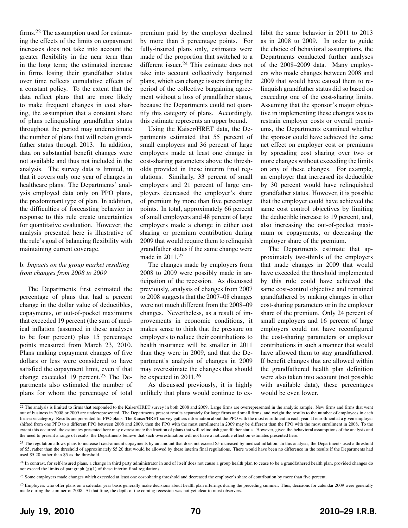firms.22 The assumption used for estimating the effects of the limits on copayment increases does not take into account the greater flexibility in the near term than in the long term; the estimated increase in firms losing their grandfather status over time reflects cumulative effects of a constant policy. To the extent that the data reflect plans that are more likely to make frequent changes in cost sharing, the assumption that a constant share of plans relinquishing grandfather status throughout the period may underestimate the number of plans that will retain grandfather status through 2013. In addition, data on substantial benefit changes were not available and thus not included in the analysis. The survey data is limited, in that it covers only one year of changes in healthcare plans. The Departments' analysis employed data only on PPO plans, the predominant type of plan. In addition, the difficulties of forecasting behavior in response to this rule create uncertainties for quantitative evaluation. However, the analysis presented here is illustrative of the rule's goal of balancing flexibility with maintaining current coverage.

#### b. *Impacts on the group market resulting from changes from 2008 to 2009*

The Departments first estimated the percentage of plans that had a percent change in the dollar value of deductibles, copayments, or out-of-pocket maximums that exceeded 19 percent (the sum of medical inflation (assumed in these analyses to be four percent) plus 15 percentage points measured from March 23, 2010. Plans making copayment changes of five dollars or less were considered to have satisfied the copayment limit, even if that change exceeded 19 percent.<sup>23</sup> The Departments also estimated the number of plans for whom the percentage of total premium paid by the employer declined by more than 5 percentage points. For fully-insured plans only, estimates were made of the proportion that switched to a different issuer.24 This estimate does not take into account collectively bargained plans, which can change issuers during the period of the collective bargaining agreement without a loss of grandfather status, because the Departments could not quantify this category of plans. Accordingly, this estimate represents an upper bound.

Using the Kaiser/HRET data, the Departments estimated that 55 percent of small employers and 36 percent of large employers made at least one change in cost-sharing parameters above the thresholds provided in these interim final regulations. Similarly, 33 percent of small employers and 21 percent of large employers decreased the employer's share of premium by more than five percentage points. In total, approximately 66 percent of small employers and 48 percent of large employers made a change in either cost sharing or premium contribution during 2009 that would require them to relinquish grandfather status if the same change were made in 2011.25

The changes made by employers from 2008 to 2009 were possibly made in anticipation of the recession. As discussed previously, analysis of changes from 2007 to 2008 suggests that the 2007–08 changes were not much different from the 2008–09 changes. Nevertheless, as a result of improvements in economic conditions, it makes sense to think that the pressure on employers to reduce their contributions to health insurance will be smaller in 2011 than they were in 2009, and that the Department's analysis of changes in 2009 may overestimate the changes that should be expected in 2011.26

As discussed previously, it is highly unlikely that plans would continue to exhibit the same behavior in 2011 to 2013 as in 2008 to 2009. In order to guide the choice of behavioral assumptions, the Departments conducted further analyses of the 2008–2009 data. Many employers who made changes between 2008 and 2009 that would have caused them to relinquish grandfather status did so based on exceeding one of the cost-sharing limits. Assuming that the sponsor's major objective in implementing these changes was to restrain employer costs or overall premiums, the Departments examined whether the sponsor could have achieved the same net effect on employer cost or premiums by spreading cost sharing over two or more changes without exceeding the limits on any of these changes. For example, an employer that increased its deductible by 30 percent would have relinquished grandfather status. However, it is possible that the employer could have achieved the same cost control objectives by limiting the deductible increase to 19 percent, and, also increasing the out-of-pocket maximum or copayments, or decreasing the employer share of the premium.

The Departments estimate that approximately two-thirds of the employers that made changes in 2009 that would have exceeded the threshold implemented by this rule could have achieved the same cost-control objective and remained grandfathered by making changes in other cost-sharing parameters or in the employer share of the premium. Only 24 percent of small employers and 16 percent of large employers could not have reconfigured the cost-sharing parameters or employer contributions in such a manner that would have allowed them to stay grandfathered. If benefit changes that are allowed within the grandfathered health plan definition were also taken into account (not possible with available data), these percentages would be even lower.

 $22$  The analysis is limited to firms that responded to the Kaiser/HRET survey in both 2008 and 2009. Large firms are overrepresented in the analytic sample. New firms and firms that went out of business in 2008 or 2009 are underrepresented. The Departments present results separately for large firms and small firms, and weight the results to the number of employees in each firm-size category. Results are presented for PPO plans. The Kaiser/HRET survey gathers information about the PPO with the most enrollment in each year. If enrollment at a given employer shifted from one PPO to a different PPO between 2008 and 2009, then the PPO with the most enrollment in 2009 may be different than the PPO with the most enrollment in 2008. To the extent this occurred, the estimates presented here may overestimate the fraction of plans that will relinquish grandfather status. However, given the behavioral assumptions of the analysis and the need to present a range of results, the Departments believe that such overestimation will not have a noticeable effect on estimates presented here.

<sup>&</sup>lt;sup>23</sup> The regulation allows plans to increase fixed-amount copayments by an amount that does not exceed \$5 increased by medical inflation. In this analysis, the Departments used a threshold of \$5, rather than the threshold of approximately \$5.20 that would be allowed by these interim final regulations. There would have been no difference in the results if the Departments had used \$5.20 rather than \$5 as the threshold.

<sup>&</sup>lt;sup>24</sup> In contrast, for self-insured plans, a change in third party administrator in and of itself does not cause a group health plan to cease to be a grandfathered health plan, provided changes do not exceed the limits of paragraph (g)(1) of these interim final regulations.

<sup>&</sup>lt;sup>25</sup> Some employers made changes which exceeded at least one cost-sharing threshold and decreased the employer's share of contribution by more than five percent.

<sup>&</sup>lt;sup>26</sup> Employers who offer plans on a calendar year basis generally make decisions about health plan offerings during the preceding summer. Thus, decisions for calendar 2009 were generally made during the summer of 2008. At that time, the depth of the coming recession was not yet clear to most observers.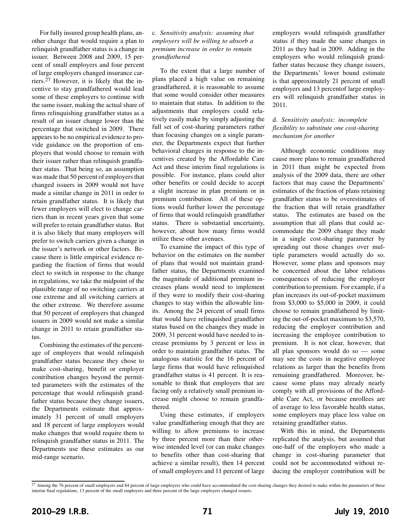For fully insured group health plans, another change that would require a plan to relinquish grandfather status is a change in issuer. Between 2008 and 2009, 15 percent of small employers and four percent of large employers changed insurance carriers.27 However, it is likely that the incentive to stay grandfathered would lead some of these employers to continue with the same issuer, making the actual share of firms relinquishing grandfather status as a result of an issuer change lower than the percentage that switched in 2009. There appears to be no empirical evidence to provide guidance on the proportion of employers that would choose to remain with their issuer rather than relinquish grandfather status. That being so, an assumption was made that 50 percent of employers that changed issuers in 2009 would not have made a similar change in 2011 in order to retain grandfather status. It is likely that fewer employers will elect to change carriers than in recent years given that some will prefer to retain grandfather status. But it is also likely that many employers will prefer to switch carriers given a change in the issuer's network or other factors. Because there is little empirical evidence regarding the fraction of firms that would elect to switch in response to the change in regulations, we take the midpoint of the plausible range of no switching carriers at one extreme and all switching carriers at the other extreme. We therefore assume that 50 percent of employers that changed issuers in 2009 would not make a similar change in 2011 to retain grandfather status.

Combining the estimates of the percentage of employers that would relinquish grandfather status because they chose to make cost-sharing, benefit or employer contribution changes beyond the permitted parameters with the estimates of the percentage that would relinquish grandfather status because they change issuers, the Departments estimate that approximately 31 percent of small employers and 18 percent of large employers would make changes that would require them to relinquish grandfather status in 2011. The Departments use these estimates as our mid-range scenario.

#### c. *Sensitivity analysis: assuming that employers will be willing to absorb a premium increase in order to remain grandfathered*

To the extent that a large number of plans placed a high value on remaining grandfathered, it is reasonable to assume that some would consider other measures to maintain that status. In addition to the adjustments that employers could relatively easily make by simply adjusting the full set of cost-sharing parameters rather than focusing changes on a single parameter, the Departments expect that further behavioral changes in response to the incentives created by the Affordable Care Act and these interim final regulations is possible. For instance, plans could alter other benefits or could decide to accept a slight increase in plan premium or in premium contribution. All of these options would further lower the percentage of firms that would relinquish grandfather status. There is substantial uncertainty, however, about how many firms would utilize these other avenues.

To examine the impact of this type of behavior on the estimates on the number of plans that would not maintain grandfather status, the Departments examined the magnitude of additional premium increases plans would need to implement if they were to modify their cost-sharing changes to stay within the allowable limits. Among the 24 percent of small firms that would have relinquished grandfather status based on the changes they made in 2009, 31 percent would have needed to increase premiums by 3 percent or less in order to maintain grandfather status. The analogous statistic for the 16 percent of large firms that would have relinquished grandfather status is 41 percent. It is reasonable to think that employers that are facing only a relatively small premium increase might choose to remain grandfathered.

Using these estimates, if employers value grandfathering enough that they are willing to allow premiums to increase by three percent more than their otherwise intended level (or can make changes to benefits other than cost-sharing that achieve a similar result), then 14 percent of small employers and 11 percent of large employers would relinquish grandfather status if they made the same changes in 2011 as they had in 2009. Adding in the employers who would relinquish grandfather status because they change issuers, the Departments' lower bound estimate is that approximately 21 percent of small employers and 13 percentof large employers will relinquish grandfather status in 2011.

#### d. *Sensitivity analysis: incomplete flexibility to substitute one cost-sharing mechanism for another*

Although economic conditions may cause more plans to remain grandfathered in 2011 than might be expected from analysis of the 2009 data, there are other factors that may cause the Departments' estimates of the fraction of plans retaining grandfather status to be overestimates of the fraction that will retain grandfather status. The estimates are based on the assumption that all plans that could accommodate the 2009 change they made in a single cost-sharing parameter by spreading out those changes over multiple parameters would actually do so. However, some plans and sponsors may be concerned about the labor relations consequences of reducing the employer contribution to premium. For example, if a plan increases its out-of-pocket maximum from \$3,000 to \$5,000 in 2009, it could choose to remain grandfathered by limiting the out-of-pocket maximum to \$3,570, reducing the employer contribution and increasing the employee contribution to premium. It is not clear, however, that all plan sponsors would do so — some may see the costs in negative employee relations as larger than the benefits from remaining grandfathered. Moreover, because some plans may already nearly comply with all provisions of the Affordable Care Act, or because enrollees are of average to less favorable health status, some employers may place less value on retaining grandfather status.

With this in mind, the Departments replicated the analysis, but assumed that one-half of the employers who made a change in cost-sharing parameter that could not be accommodated without reducing the employer contribution will be

<sup>&</sup>lt;sup>27</sup> Among the 76 percent of small employers and 84 percent of large employers who could have accommodated the cost-sharing changes they desired to make within the parameters of these interim final regulations, 13 percent of the small employers and three percent of the large employers changed issuers.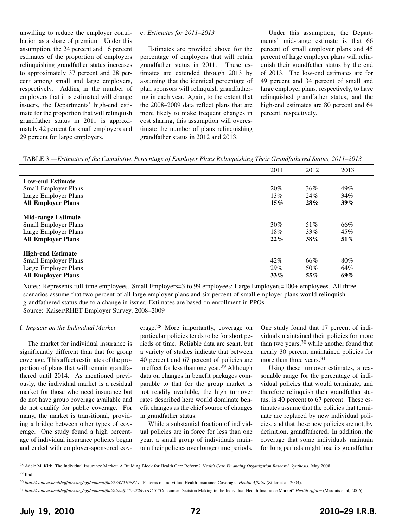unwilling to reduce the employer contribution as a share of premium. Under this assumption, the 24 percent and 16 percent estimates of the proportion of employers relinquishing grandfather status increases to approximately 37 percent and 28 percent among small and large employers, respectively. Adding in the number of employers that it is estimated will change issuers, the Departments' high-end estimate for the proportion that will relinquish grandfather status in 2011 is approximately 42 percent for small employers and 29 percent for large employers.

#### e. *Estimates for 2011–2013*

Estimates are provided above for the percentage of employers that will retain grandfather status in 2011. These estimates are extended through 2013 by assuming that the identical percentage of plan sponsors will relinquish grandfathering in each year. Again, to the extent that the 2008–2009 data reflect plans that are more likely to make frequent changes in cost sharing, this assumption will overestimate the number of plans relinquishing grandfather status in 2012 and 2013.

Under this assumption, the Departments' mid-range estimate is that 66 percent of small employer plans and 45 percent of large employer plans will relinquish their grandfather status by the end of 2013. The low-end estimates are for 49 percent and 34 percent of small and large employer plans, respectively, to have relinquished grandfather status, and the high-end estimates are 80 percent and 64 percent, respectively.

TABLE 3.—*Estimates of the Cumulative Percentage of Employer Plans Relinquishing Their Grandfathered Status, 2011–2013*

|                             | 2011   | 2012 | 2013   |
|-----------------------------|--------|------|--------|
| <b>Low-end Estimate</b>     |        |      |        |
| Small Employer Plans        | 20%    | 36%  | 49%    |
| Large Employer Plans        | 13%    | 24%  | 34%    |
| <b>All Employer Plans</b>   | $15\%$ | 28%  | $39\%$ |
| <b>Mid-range Estimate</b>   |        |      |        |
| Small Employer Plans        | 30%    | 51%  | 66%    |
| Large Employer Plans        | 18%    | 33%  | 45%    |
| <b>All Employer Plans</b>   | 22%    | 38%  | $51\%$ |
| <b>High-end Estimate</b>    |        |      |        |
| <b>Small Employer Plans</b> | 42%    | 66%  | 80%    |
| Large Employer Plans        | 29%    | 50%  | 64%    |
| <b>All Employer Plans</b>   | $33\%$ | 55%  | 69%    |

Notes: Represents full-time employees. Small Employers=3 to 99 employees; Large Employers=100+ employees. All three scenarios assume that two percent of all large employer plans and six percent of small employer plans would relinquish grandfathered status due to a change in issuer. Estimates are based on enrollment in PPOs. Source: Kaiser/RHET Employer Survey, 2008–2009

#### f. *Impacts on the Individual Market*

The market for individual insurance is significantly different than that for group coverage. This affects estimates of the proportion of plans that will remain grandfathered until 2014. As mentioned previously, the individual market is a residual market for those who need insurance but do not have group coverage available and do not qualify for public coverage. For many, the market is transitional, providing a bridge between other types of coverage. One study found a high percentage of individual insurance policies began and ended with employer-sponsored cov-

erage.28 More importantly, coverage on particular policies tends to be for short periods of time. Reliable data are scant, but a variety of studies indicate that between 40 percent and 67 percent of policies are in effect for less than one year.29 Although data on changes in benefit packages comparable to that for the group market is not readily available, the high turnover rates described here would dominate benefit changes as the chief source of changes in grandfather status.

While a substantial fraction of individual policies are in force for less than one year, a small group of individuals maintain their policies over longer time periods.

One study found that 17 percent of individuals maintained their policies for more than two years,  $30$  while another found that nearly 30 percent maintained policies for more than three years.<sup>31</sup>

Using these turnover estimates, a reasonable range for the percentage of individual policies that would terminate, and therefore relinquish their grandfather status, is 40 percent to 67 percent. These estimates assume that the policies that terminate are replaced by new individual policies, and that these new policies are not, by definition, grandfathered. In addition, the coverage that some individuals maintain for long periods might lose its grandfather

<sup>28</sup> Adele M. Kirk. The Individual Insurance Market: A Building Block for Health Care Reform? *Health Care Financing Organization Research Synthesis*. May 2008. 29 Ibid.

<sup>30</sup> *http://content.healthaffairs.org/cgi/content/full/23/6/210#R14* "Patterns of Individual Health Insurance Coverage" *Health Affairs* (Ziller et al, 2004).

<sup>31</sup> *http://content.healthaffairs.org/cgi/content/full/hlthaff.25.w226v1/DC1* "Consumer Decision Making in the Individual Health Insurance Market" *Health Affairs* (Marquis et al, 2006).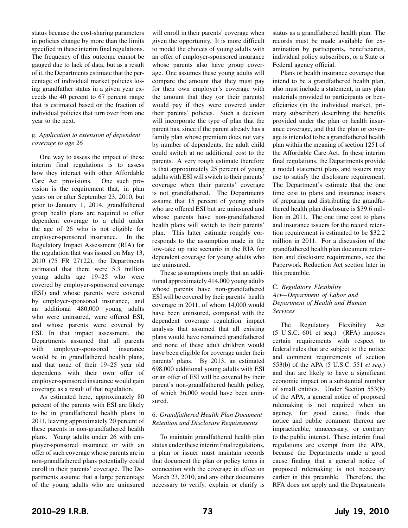status because the cost-sharing parameters in policies change by more than the limits specified in these interim final regulations. The frequency of this outcome cannot be gauged due to lack of data, but as a result of it, the Departments estimate that the percentage of individual market policies losing grandfather status in a given year exceeds the 40 percent to 67 percent range that is estimated based on the fraction of individual policies that turn over from one year to the next.

#### g. *Application to extension of dependent coverage to age 26*

One way to assess the impact of these interim final regulations is to assess how they interact with other Affordable Care Act provisions. One such provision is the requirement that, in plan years on or after September 23, 2010, but prior to January 1, 2014, grandfathered group health plans are required to offer dependent coverage to a child under the age of 26 who is not eligible for employer-sponsored insurance. In the Regulatory Impact Assessment (RIA) for the regulation that was issued on May 13, 2010 (75 FR 27122), the Departments estimated that there were 5.3 million young adults age 19–25 who were covered by employer-sponsored coverage (ESI) and whose parents were covered by employer-sponsored insurance, and an additional 480,000 young adults who were uninsured, were offered ESI, and whose parents were covered by ESI. In that impact assessment, the Departments assumed that all parents with employer-sponsored insurance would be in grandfathered health plans, and that none of their 19–25 year old dependents with their own offer of employer-sponsored insurance would gain coverage as a result of that regulation.

As estimated here, approximately 80 percent of the parents with ESI are likely to be in grandfathered health plans in 2011, leaving approximately 20 percent of these parents in non-grandfathered health plans. Young adults under 26 with employer-sponsored insurance or with an offer of such coverage whose parents are in non-grandfathered plans potentially could enroll in their parents' coverage. The Departments assume that a large percentage of the young adults who are uninsured

will enroll in their parents' coverage when given the opportunity. It is more difficult to model the choices of young adults with an offer of employer-sponsored insurance whose parents also have group coverage. One assumes these young adults will compare the amount that they must pay for their own employer's coverage with the amount that they (or their parents) would pay if they were covered under their parents' policies. Such a decision will incorporate the type of plan that the parent has, since if the parent already has a family plan whose premium does not vary by number of dependents, the adult child could switch at no additional cost to the parents. A very rough estimate therefore is that approximately 25 percent of young adults with ESI will switch to their parents' coverage when their parents' coverage is not grandfathered. The Departments assume that 15 percent of young adults who are offered ESI but are uninsured and whose parents have non-grandfathered health plans will switch to their parents' plan. This latter estimate roughly corresponds to the assumption made in the low-take up rate scenario in the RIA for dependent coverage for young adults who are uninsured.

These assumptions imply that an additional approximately 414,000 young adults whose parents have non-grandfathered ESI will be covered by their parents' health coverage in 2011, of whom 14,000 would have been uninsured, compared with the dependent coverage regulation impact analysis that assumed that all existing plans would have remained grandfathered and none of these adult children would have been eligible for coverage under their parents' plans. By 2013, an estimated 698,000 additional young adults with ESI or an offer of ESI will be covered by their parent's non-grandfathered health policy, of which 36,000 would have been uninsured.

#### 6. *Grandfathered Health Plan Document Retention and Disclosure Requirements*

To maintain grandfathered health plan status under these interim final regulations, a plan or issuer must maintain records that document the plan or policy terms in connection with the coverage in effect on March 23, 2010, and any other documents necessary to verify, explain or clarify is status as a grandfathered health plan. The records must be made available for examination by participants, beneficiaries, individual policy subscribers, or a State or Federal agency official.

Plans or health insurance coverage that intend to be a grandfathered health plan, also must include a statement, in any plan materials provided to participants or beneficiaries (in the individual market, primary subscriber) describing the benefits provided under the plan or health insurance coverage, and that the plan or coverage is intended to be a grandfathered health plan within the meaning of section 1251 of the Affordable Care Act. In these interim final regulations, the Departments provide a model statement plans and issuers may use to satisfy the disclosure requirement. The Department's estimate that the one time cost to plans and insurance issuers of preparing and distributing the grandfathered health plan disclosure is \$39.6 million in 2011. The one time cost to plans and insurance issuers for the record retention requirement is estimated to be \$32.2 million in 2011. For a discussion of the grandfathered health plan document retention and disclosure requirements, see the Paperwork Reduction Act section later in this preamble.

#### C. *Regulatory Flexibility Act—Department of Labor and Department of Health and Human Services*

The Regulatory Flexibility Act (5 U.S.C. 601 et seq.) (RFA) imposes certain requirements with respect to federal rules that are subject to the notice and comment requirements of section 553(b) of the APA (5 U.S.C. 551 *et seq.*) and that are likely to have a significant economic impact on a substantial number of small entities. Under Section 553(b) of the APA, a general notice of proposed rulemaking is not required when an agency, for good cause, finds that notice and public comment thereon are impracticable, unnecessary, or contrary to the public interest. These interim final regulations are exempt from the APA, because the Departments made a good cause finding that a general notice of proposed rulemaking is not necessary earlier in this preamble. Therefore, the RFA does not apply and the Departments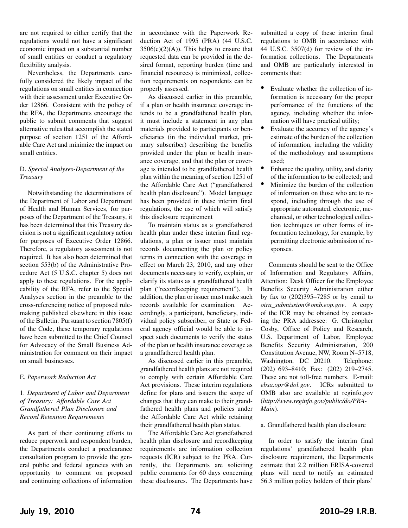are not required to either certify that the regulations would not have a significant economic impact on a substantial number of small entities or conduct a regulatory flexibility analysis.

Nevertheless, the Departments carefully considered the likely impact of the regulations on small entities in connection with their assessment under Executive Order 12866. Consistent with the policy of the RFA, the Departments encourage the public to submit comments that suggest alternative rules that accomplish the stated purpose of section 1251 of the Affordable Care Act and minimize the impact on small entities.

#### D. *Special Analyses-Department of the Treasury*

Notwithstanding the determinations of the Department of Labor and Department of Health and Human Services, for purposes of the Department of the Treasury, it has been determined that this Treasury decision is not a significant regulatory action for purposes of Executive Order 12866. Therefore, a regulatory assessment is not required. It has also been determined that section 553(b) of the Administrative Procedure Act (5 U.S.C. chapter 5) does not apply to these regulations. For the applicability of the RFA, refer to the Special Analyses section in the preamble to the cross-referencing notice of proposed rulemaking published elsewhere in this issue of the Bulletin. Pursuant to section 7805(f) of the Code, these temporary regulations have been submitted to the Chief Counsel for Advocacy of the Small Business Administration for comment on their impact on small businesses.

#### E. *Paperwork Reduction Act*

1. *Department of Labor and Department of Treasury: Affordable Care Act Grandfathered Plan Disclosure and Record Retention Requirements*

As part of their continuing efforts to reduce paperwork and respondent burden, the Departments conduct a preclearance consultation program to provide the general public and federal agencies with an opportunity to comment on proposed and continuing collections of information in accordance with the Paperwork Reduction Act of 1995 (PRA) (44 U.S.C.  $3506(c)(2)(A)$ . This helps to ensure that requested data can be provided in the desired format, reporting burden (time and financial resources) is minimized, collection requirements on respondents can be properly assessed.

As discussed earlier in this preamble, if a plan or health insurance coverage intends to be a grandfathered health plan, it must include a statement in any plan materials provided to participants or beneficiaries (in the individual market, primary subscriber) describing the benefits provided under the plan or health insurance coverage, and that the plan or coverage is intended to be grandfathered health plan within the meaning of section 1251 of the Affordable Care Act ("grandfathered health plan disclosure"). Model language has been provided in these interim final regulations, the use of which will satisfy this disclosure requirement

To maintain status as a grandfathered health plan under these interim final regulations, a plan or issuer must maintain records documenting the plan or policy terms in connection with the coverage in effect on March 23, 2010, and any other documents necessary to verify, explain, or clarify its status as a grandfathered health plan ("recordkeeping requirement"). In addition, the plan or issuer must make such records available for examination. Accordingly, a participant, beneficiary, individual policy subscriber, or State or Federal agency official would be able to inspect such documents to verify the status of the plan or health insurance coverage as a grandfathered health plan.

As discussed earlier in this preamble, grandfathered health plans are not required to comply with certain Affordable Care Act provisions. These interim regulations define for plans and issuers the scope of changes that they can make to their grandfathered health plans and policies under the Affordable Care Act while retaining their grandfathered health plan status.

The Affordable Care Act grandfathered health plan disclosure and recordkeeping requirements are information collection requests (ICR) subject to the PRA. Currently, the Departments are soliciting public comments for 60 days concerning these disclosures. The Departments have

submitted a copy of these interim final regulations to OMB in accordance with 44 U.S.C. 3507(d) for review of the information collections. The Departments and OMB are particularly interested in comments that:

- Evaluate whether the collection of information is necessary for the proper performance of the functions of the agency, including whether the information will have practical utility;
- Evaluate the accuracy of the agency's estimate of the burden of the collection of information, including the validity of the methodology and assumptions used;
- Enhance the quality, utility, and clarity of the information to be collected; and
- Minimize the burden of the collection of information on those who are to respond, including through the use of appropriate automated, electronic, mechanical, or other technological collection techniques or other forms of information technology, for example, by permitting electronic submission of responses.

Comments should be sent to the Office of Information and Regulatory Affairs, Attention: Desk Officer for the Employee Benefits Security Administration either by fax to (202)395–7285 or by email to *oira\_submission@omb.eop.gov*. A copy of the ICR may be obtained by contacting the PRA addressee: G. Christopher Cosby, Office of Policy and Research, U.S. Department of Labor, Employee Benefits Security Administration, 200 Constitution Avenue, NW, Room N–5718, Washington, DC 20210. Telephone: (202) 693–8410; Fax: (202) 219–2745. These are not toll-free numbers. E-mail: *ebsa.opr@dol.gov*. ICRs submitted to OMB also are available at reginfo.gov (*http://www.reginfo.gov/public/do/PRA-Main*).

#### a. Grandfathered health plan disclosure

In order to satisfy the interim final regulations' grandfathered health plan disclosure requirement, the Departments estimate that 2.2 million ERISA-covered plans will need to notify an estimated 56.3 million policy holders of their plans'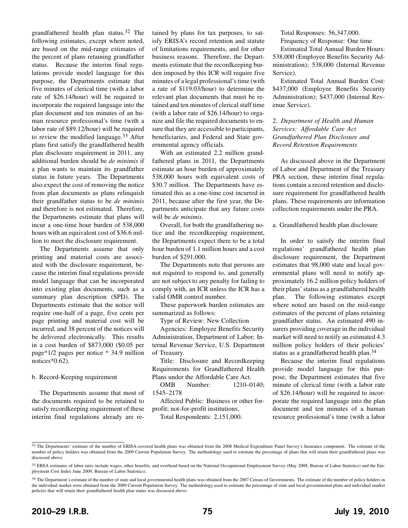grandfathered health plan status.32 The following estimates, except where noted, are based on the mid-range estimates of the percent of plans retaining grandfather status. Because the interim final regulations provide model language for this purpose, the Departments estimate that five minutes of clerical time (with a labor rate of \$26.14/hour) will be required to incorporate the required language into the plan document and ten minutes of an human resource professional's time (with a labor rate of \$89.12/hour) will be required to review the modified language.33 After plans first satisfy the grandfathered health plan disclosure requirement in 2011, any additional burden should be *de minimis* if a plan wants to maintain its grandfather status in future years. The Departments also expect the cost of removing the notice from plan documents as plans relinquish their grandfather status to be *de minimis* and therefore is not estimated. Therefore, the Departments estimate that plans will incur a one-time hour burden of 538,000 hours with an equivalent cost of \$36.6 million to meet the disclosure requirement.

The Departments assume that only printing and material costs are associated with the disclosure requirement, because the interim final regulations provide model language that can be incorporated into existing plan documents, such as a summary plan description (SPD). The Departments estimate that the notice will require one-half of a page, five cents per page printing and material cost will be incurred, and 38 percent of the notices will be delivered electronically. This results in a cost burden of \$873,000 (\$0.05 per page\*1/2 pages per notice \* 34.9 million notices\*0.62).

#### b. Record-Keeping requirement

The Departments assume that most of the documents required to be retained to satisfy recordkeeping requirement of these interim final regulations already are retained by plans for tax purposes, to satisfy ERISA's record retention and statute of limitations requirements, and for other business reasons. Therefore, the Departments estimate that the recordkeeping burden imposed by this ICR will require five minutes of a legal professional's time (with a rate of \$119.03/hour) to determine the relevant plan documents that must be retained and ten minutes of clerical staff time (with a labor rate of \$26.14/hour) to organize and file the required documents to ensure that they are accessible to participants, beneficiaries, and Federal and State governmental agency officials.

With an estimated 2.2 million grandfathered plans in 2011, the Departments estimate an hour burden of approximately 538,000 hours with equivalent costs of \$30.7 million. The Departments have estimated this as a one-time cost incurred in 2011, because after the first year, the Departments anticipate that any future costs will be *de minimis*.

Overall, for both the grandfathering notice and the recordkeeping requirement, the Departments expect there to be a total hour burden of 1.1 million hours and a cost burden of \$291,000.

The Departments note that persons are not required to respond to, and generally are not subject to any penalty for failing to comply with, an ICR unless the ICR has a valid OMB control number.

These paperwork burden estimates are summarized as follows:

Type of Review: New Collection

Agencies: Employee Benefits Security Administration, Department of Labor; Internal Revenue Service, U.S. Department of Treasury.

Title: Disclosure and Recordkeeping Requirements for Grandfathered Health Plans under the Affordable Care Act.

OMB Number: 1210–0140; 1545–2178

Affected Public: Business or other forprofit; not-for-profit institutions.

Total Respondents: 2,151,000.

Total Responses: 56,347,000.

Frequency of Response: One time

Estimated Total Annual Burden Hours: 538,000 (Employee Benefits Security Administration); 538,000 (Internal Revenue Service).

Estimated Total Annual Burden Cost: \$437,000 (Employee Benefits Security Administration); \$437,000 (Internal Revenue Service).

#### 2. *Department of Health and Human Services: Affordable Care Act Grandfathered Plan Disclosure and Record Retention Requirements*

As discussed above in the Department of Labor and Department of the Treasury PRA section, these interim final regulations contain a record retention and disclosure requirement for grandfathered health plans. These requirements are information collection requirements under the PRA.

a. Grandfathered health plan disclosure

In order to satisfy the interim final regulations' grandfathered health plan disclosure requirement, the Department estimates that 98,000 state and local governmental plans will need to notify approximately 16.2 million policy holders of their plans' status as a grandfathered health plan. The following estimates except where noted are based on the mid-range estimates of the percent of plans retaining grandfather status. An estimated 490 insurers providing coverage in the individual market will need to notify an estimated 4.3 million policy holders of their policies' status as a grandfathered health plan.34

Because the interim final regulations provide model language for this purpose, the Department estimates that five minute of clerical time (with a labor rate of \$26.14/hour) will be required to incorporate the required language into the plan document and ten minutes of a human resource professional's time (with a labor

<sup>&</sup>lt;sup>32</sup> The Departments' estimate of the number of ERISA-covered health plans was obtained from the 2008 Medical Expenditure Panel Survey's Insurance component. The estimate of the number of policy holders was obtained from the 2009 Current Population Survey. The methodology used to estimate the percentage of plans that will retain their grandfathered plans was discussed above.

<sup>33</sup> EBSA estimates of labor rates include wages, other benefits, and overhead based on the National Occupational Employment Survey (May 2008, Bureau of Labor Statistics) and the Employment Cost Index June 2009, Bureau of Labor Statistics).

<sup>&</sup>lt;sup>34</sup> The Department's estimate of the number of state and local governmental health plans was obtained from the 2007 Census of Governments. The estimate of the number of policy holders in the individual market were obtained from the 2009 Current Population Survey. The methodology used to estimate the percentage of state and local governmental plans and individual market policies that will retain their grandfathered health plan status was discussed above.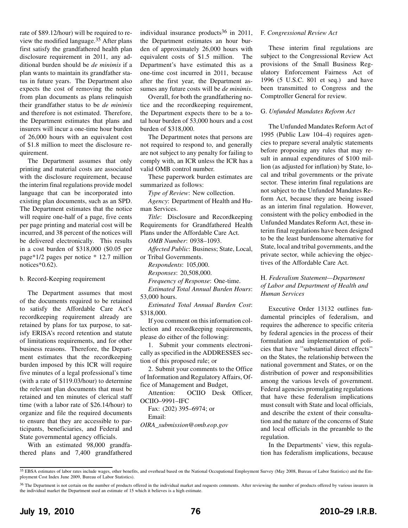rate of \$89.12/hour) will be required to review the modified language.35 After plans first satisfy the grandfathered health plan disclosure requirement in 2011, any additional burden should be *de minimis* if a plan wants to maintain its grandfather status in future years. The Department also expects the cost of removing the notice from plan documents as plans relinquish their grandfather status to be *de minimis* and therefore is not estimated. Therefore, the Department estimates that plans and insurers will incur a one-time hour burden of 26,000 hours with an equivalent cost of \$1.8 million to meet the disclosure requirement.

The Department assumes that only printing and material costs are associated with the disclosure requirement, because the interim final regulations provide model language that can be incorporated into existing plan documents, such as an SPD. The Department estimates that the notice will require one-half of a page, five cents per page printing and material cost will be incurred, and 38 percent of the notices will be delivered electronically. This results in a cost burden of \$318,000 (\$0.05 per page\*1/2 pages per notice \* 12.7 million notices\*0.62).

#### b. Record-Keeping requirement

The Department assumes that most of the documents required to be retained to satisfy the Affordable Care Act's recordkeeping requirement already are retained by plans for tax purpose, to satisfy ERISA's record retention and statute of limitations requirements, and for other business reasons. Therefore, the Department estimates that the recordkeeping burden imposed by this ICR will require five minutes of a legal professional's time (with a rate of \$119.03/hour) to determine the relevant plan documents that must be retained and ten minutes of clerical staff time (with a labor rate of \$26.14/hour) to organize and file the required documents to ensure that they are accessible to participants, beneficiaries, and Federal and State governmental agency officials.

With an estimated 98,000 grandfathered plans and 7,400 grandfathered individual insurance products $36$  in 2011, the Department estimates an hour burden of approximately 26,000 hours with equivalent costs of \$1.5 million. The Department's have estimated this as a one-time cost incurred in 2011, because after the first year, the Department assumes any future costs will be *de minimis*.

Overall, for both the grandfathering notice and the recordkeeping requirement, the Department expects there to be a total hour burden of 53,000 hours and a cost burden of \$318,000.

The Department notes that persons are not required to respond to, and generally are not subject to any penalty for failing to comply with, an ICR unless the ICR has a valid OMB control number.

These paperwork burden estimates are summarized as follows:

*Type of Review*: New collection.

*Agency*: Department of Health and Human Services.

*Title*: Disclosure and Recordkeeping Requirements for Grandfathered Health Plans under the Affordable Care Act.

*OMB Number*: 0938–1093.

*Affected Public*: Business; State, Local,

or Tribal Governments. *Respondents*: 105,000. *Responses*: 20,508,000.

*Frequency of Response*: One-time.

*Estimated Total Annual Burden Hours*: 53,000 hours.

*Estimated Total Annual Burden Cost*: \$318,000.

If you comment on this information collection and recordkeeping requirements, please do either of the following:

1. Submit your comments electronically as specified in the ADDRESSES section of this proposed rule; or

2. Submit your comments to the Office of Information and Regulatory Affairs, Office of Management and Budget,

Attention: OCIIO Desk Officer, OCIIO–9991–IFC

Fax: (202) 395–6974; or Email:

*OIRA\_submission@omb.eop.gov*

#### F. *Congressional Review Act*

These interim final regulations are subject to the Congressional Review Act provisions of the Small Business Regulatory Enforcement Fairness Act of 1996 (5 U.S.C. 801 et seq.) and have been transmitted to Congress and the Comptroller General for review.

#### G. *Unfunded Mandates Reform Act*

The Unfunded Mandates Reform Act of 1995 (Public Law 104–4) requires agencies to prepare several analytic statements before proposing any rules that may result in annual expenditures of \$100 million (as adjusted for inflation) by State, local and tribal governments or the private sector. These interim final regulations are not subject to the Unfunded Mandates Reform Act, because they are being issued as an interim final regulation. However, consistent with the policy embodied in the Unfunded Mandates Reform Act, these interim final regulations have been designed to be the least burdensome alternative for State, local and tribal governments, and the private sector, while achieving the objectives of the Affordable Care Act.

#### H. *Federalism Statement—Department of Labor and Department of Health and Human Services*

Executive Order 13132 outlines fundamental principles of federalism, and requires the adherence to specific criteria by federal agencies in the process of their formulation and implementation of policies that have ''substantial direct effects'' on the States, the relationship between the national government and States, or on the distribution of power and responsibilities among the various levels of government. Federal agencies promulgating regulations that have these federalism implications must consult with State and local officials, and describe the extent of their consultation and the nature of the concerns of State and local officials in the preamble to the regulation.

In the Departments' view, this regulation has federalism implications, because

<sup>35</sup> EBSA estimates of labor rates include wages, other benefits, and overhead based on the National Occupational Employment Survey (May 2008, Bureau of Labor Statistics) and the Employment Cost Index June 2009, Bureau of Labor Statistics).

<sup>&</sup>lt;sup>36</sup> The Department is not certain on the number of products offered in the individual market and requests comments. After reviewing the number of products offered by various insurers in the individual market the Department used an estimate of 15 which it believes is a high estimate.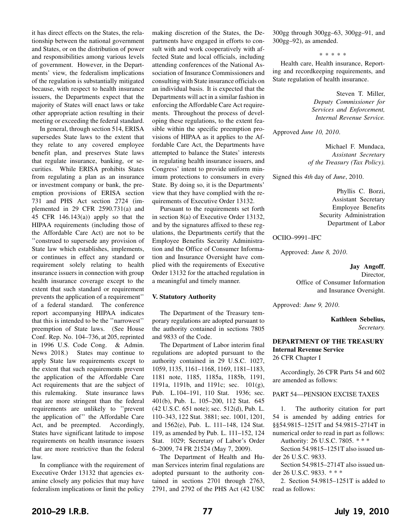it has direct effects on the States, the relationship between the national government and States, or on the distribution of power and responsibilities among various levels of government. However, in the Departments' view, the federalism implications of the regulation is substantially mitigated because, with respect to health insurance issuers, the Departments expect that the majority of States will enact laws or take other appropriate action resulting in their meeting or exceeding the federal standard.

In general, through section 514, ERISA supersedes State laws to the extent that they relate to any covered employee benefit plan, and preserves State laws that regulate insurance, banking, or securities. While ERISA prohibits States from regulating a plan as an insurance or investment company or bank, the preemption provisions of ERISA section 731 and PHS Act section 2724 (implemented in 29 CFR 2590.731(a) and 45 CFR 146.143(a)) apply so that the HIPAA requirements (including those of the Affordable Care Act) are not to be ''construed to supersede any provision of State law which establishes, implements, or continues in effect any standard or requirement solely relating to health insurance issuers in connection with group health insurance coverage except to the extent that such standard or requirement prevents the application of a requirement'' of a federal standard. The conference report accompanying HIPAA indicates that this is intended to be the ''narrowest'' preemption of State laws. (See House Conf. Rep. No. 104–736, at 205, reprinted in 1996 U.S. Code Cong. & Admin. News 2018.) States may continue to apply State law requirements except to the extent that such requirements prevent the application of the Affordable Care Act requirements that are the subject of this rulemaking. State insurance laws that are more stringent than the federal requirements are unlikely to ''prevent the application of'' the Affordable Care Act, and be preempted. Accordingly, States have significant latitude to impose requirements on health insurance issuers that are more restrictive than the federal law.

In compliance with the requirement of Executive Order 13132 that agencies examine closely any policies that may have federalism implications or limit the policy

making discretion of the States, the Departments have engaged in efforts to consult with and work cooperatively with affected State and local officials, including attending conferences of the National Association of Insurance Commissioners and consulting with State insurance officials on an individual basis. It is expected that the Departments will act in a similar fashion in enforcing the Affordable Care Act requirements. Throughout the process of developing these regulations, to the extent feasible within the specific preemption provisions of HIPAA as it applies to the Affordable Care Act, the Departments have attempted to balance the States' interests in regulating health insurance issuers, and Congress' intent to provide uniform minimum protections to consumers in every State. By doing so, it is the Departments' view that they have complied with the requirements of Executive Order 13132.

Pursuant to the requirements set forth in section 8(a) of Executive Order 13132, and by the signatures affixed to these regulations, the Departments certify that the Employee Benefits Security Administration and the Office of Consumer Information and Insurance Oversight have complied with the requirements of Executive Order 13132 for the attached regulation in a meaningful and timely manner.

#### **V. Statutory Authority**

The Department of the Treasury temporary regulations are adopted pursuant to the authority contained in sections 7805 and 9833 of the Code.

The Department of Labor interim final regulations are adopted pursuant to the authority contained in 29 U.S.C. 1027, 1059, 1135, 1161–1168, 1169, 1181–1183, 1181 note, 1185, 1185a, 1185b, 1191, 1191a, 1191b, and 1191c; sec. 101(g), Pub. L.104–191, 110 Stat. 1936; sec. 401(b), Pub. L. 105–200, 112 Stat. 645 (42 U.S.C. 651 note); sec. 512(d), Pub. L. 110–343, 122 Stat. 3881; sec. 1001, 1201, and 1562(e), Pub. L. 111–148, 124 Stat. 119, as amended by Pub. L. 111–152, 124 Stat. 1029; Secretary of Labor's Order 6–2009, 74 FR 21524 (May 7, 2009).

The Department of Health and Human Services interim final regulations are adopted pursuant to the authority contained in sections 2701 through 2763, 2791, and 2792 of the PHS Act (42 USC

300gg through 300gg–63, 300gg–91, and 300gg–92), as amended.

\*\*\*\*\*

Health care, Health insurance, Reporting and recordkeeping requirements, and State regulation of health insurance.

> Steven T. Miller, *Deputy Commissioner for Services and Enforcement, Internal Revenue Service.*

Approved *June 10, 2010*.

Michael F. Mundaca, *Assistant Secretary of the Treasury (Tax Policy).*

Signed this *4th* day of *June*, 2010.

Phyllis C. Borzi, Assistant Secretary Employee Benefits Security Administration Department of Labor

OCIIO–9991–IFC

Approved: *June 8, 2010*.

**Jay Angoff**, Director, Office of Consumer Information and Insurance Oversight.

Approved: *June 9, 2010*.

**Kathleen Sebelius,** *Secretary.*

#### **DEPARTMENT OF THE TREASURY Internal Revenue Service** 26 CFR Chapter I

Accordingly, 26 CFR Parts 54 and 602 are amended as follows:

PART 54—PENSION EXCISE TAXES

1. The authority citation for part 54 is amended by adding entries for §§54.9815–1251T and 54.9815–2714T in numerical order to read in part as follows:

Authority: 26 U.S.C. 7805. \* \* \*

Section 54.9815–1251T also issued under 26 U.S.C. 9833.

Section 54.9815–2714T also issued under 26 U.S.C. 9833. \* \* \*

2. Section 54.9815–1251T is added to read as follows: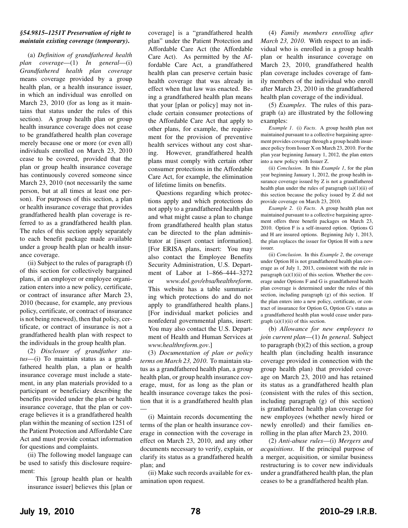#### *§54.9815–1251T Preservation of right to maintain existing coverage (temporary)***.**

(a) *Definition of grandfathered health plan coverage*—(1) *In general*—(i) *Grandfathered health plan coverage* means coverage provided by a group health plan, or a health insurance issuer, in which an individual was enrolled on March 23, 2010 (for as long as it maintains that status under the rules of this section). A group health plan or group health insurance coverage does not cease to be grandfathered health plan coverage merely because one or more (or even all) individuals enrolled on March 23, 2010 cease to be covered, provided that the plan or group health insurance coverage has continuously covered someone since March 23, 2010 (not necessarily the same person, but at all times at least one person). For purposes of this section, a plan or health insurance coverage that provides grandfathered health plan coverage is referred to as a grandfathered health plan. The rules of this section apply separately to each benefit package made available under a group health plan or health insurance coverage.

(ii) Subject to the rules of paragraph (f) of this section for collectively bargained plans, if an employer or employee organization enters into a new policy, certificate, or contract of insurance after March 23, 2010 (because, for example, any previous policy, certificate, or contract of insurance is not being renewed), then that policy, certificate, or contract of insurance is not a grandfathered health plan with respect to the individuals in the group health plan.

(2) *Disclosure of grandfather status*—(i) To maintain status as a grandfathered health plan, a plan or health insurance coverage must include a statement, in any plan materials provided to a participant or beneficiary describing the benefits provided under the plan or health insurance coverage, that the plan or coverage believes it is a grandfathered health plan within the meaning of section 1251 of the Patient Protection and Affordable Care Act and must provide contact information for questions and complaints.

(ii) The following model language can be used to satisfy this disclosure requirement:

This [group health plan or health insurance issuer] believes this [plan or

coverage] is a "grandfathered health plan" under the Patient Protection and Affordable Care Act (the Affordable Care Act). As permitted by the Affordable Care Act, a grandfathered health plan can preserve certain basic health coverage that was already in effect when that law was enacted. Being a grandfathered health plan means that your [plan or policy] may not include certain consumer protections of the Affordable Care Act that apply to other plans, for example, the requirement for the provision of preventive health services without any cost sharing. However, grandfathered health plans must comply with certain other consumer protections in the Affordable Care Act, for example, the elimination of lifetime limits on benefits.

Questions regarding which protections apply and which protections do not apply to a grandfathered health plan and what might cause a plan to change from grandfathered health plan status can be directed to the plan administrator at [insert contact information]. [For ERISA plans, insert: You may also contact the Employee Benefits Security Administration, U.S. Department of Labor at 1–866–444–3272 or *www.dol.gov/ebsa/healthreform*. This website has a table summarizing which protections do and do not apply to grandfathered health plans.] [For individual market policies and nonfederal governmental plans, insert: You may also contact the U.S. Department of Health and Human Services at *www.healthreform.gov*.]

(3) *Documentation of plan or policy terms on March 23, 2010*. To maintain status as a grandfathered health plan, a group health plan, or group health insurance coverage, must, for as long as the plan or health insurance coverage takes the position that it is a grandfathered health plan —

(i) Maintain records documenting the terms of the plan or health insurance coverage in connection with the coverage in effect on March 23, 2010, and any other documents necessary to verify, explain, or clarify its status as a grandfathered health plan; and

(ii) Make such records available for examination upon request.

(4) *Family members enrolling after March 23, 2010*. With respect to an individual who is enrolled in a group health plan or health insurance coverage on March 23, 2010, grandfathered health plan coverage includes coverage of family members of the individual who enroll after March 23, 2010 in the grandfathered health plan coverage of the individual.

(5) *Examples*. The rules of this paragraph (a) are illustrated by the following examples:

*Example 1*. (i) *Facts*. A group health plan not maintained pursuant to a collective bargaining agreement provides coverage through a group health insurance policy from Issuer X on March 23, 2010. For the plan year beginning January 1, 2012, the plan enters into a new policy with Issuer Z.

(ii) *Conclusion*. In this *Example 1*, for the plan year beginning January 1, 2012, the group health insurance coverage issued by Z is not a grandfathered health plan under the rules of paragraph  $(a)(1)(ii)$  of this section because the policy issued by Z did not provide coverage on March 23, 2010.

*Example 2*. (i) *Facts*. A group health plan not maintained pursuant to a collective bargaining agreement offers three benefit packages on March 23, 2010. Option F is a self-insured option. Options G and H are insured options. Beginning July 1, 2013, the plan replaces the issuer for Option H with a new issuer.

(ii) *Conclusion*. In this *Example 2*, the coverage under Option H is not grandfathered health plan coverage as of July 1, 2013, consistent with the rule in paragraph  $(a)(1)(ii)$  of this section. Whether the coverage under Options F and G is grandfathered health plan coverage is determined under the rules of this section, including paragraph (g) of this section. If the plan enters into a new policy, certificate, or contract of insurance for Option G, Option G's status as a grandfathered health plan would cease under paragraph  $(a)(1)(ii)$  of this section.

(b) *Allowance for new employees to join current plan*—(1) *In general*. Subject to paragraph (b)(2) of this section, a group health plan (including health insurance coverage provided in connection with the group health plan) that provided coverage on March 23, 2010 and has retained its status as a grandfathered health plan (consistent with the rules of this section, including paragraph (g) of this section) is grandfathered health plan coverage for new employees (whether newly hired or newly enrolled) and their families enrolling in the plan after March 23, 2010.

(2) *Anti-abuse rules*—(i) *Mergers and acquisitions*. If the principal purpose of a merger, acquisition, or similar business restructuring is to cover new individuals under a grandfathered health plan, the plan ceases to be a grandfathered health plan.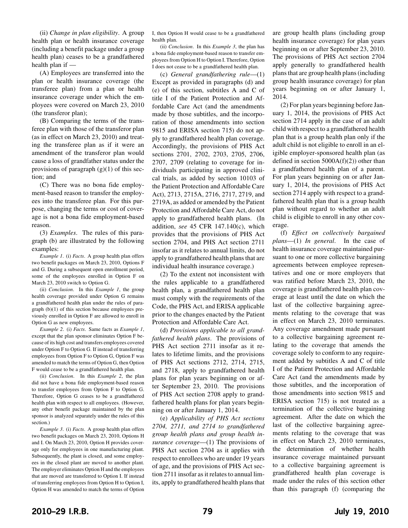(ii) *Change in plan eligibility*. A group health plan or health insurance coverage (including a benefit package under a group health plan) ceases to be a grandfathered health plan if —

(A) Employees are transferred into the plan or health insurance coverage (the transferee plan) from a plan or health insurance coverage under which the employees were covered on March 23, 2010 (the transferor plan);

(B) Comparing the terms of the transferee plan with those of the transferor plan (as in effect on March 23, 2010) and treating the transferee plan as if it were an amendment of the transferor plan would cause a loss of grandfather status under the provisions of paragraph  $(g)(1)$  of this section; and

(C) There was no bona fide employment-based reason to transfer the employees into the transferee plan. For this purpose, changing the terms or cost of coverage is not a bona fide employment-based reason.

(3) *Examples*. The rules of this paragraph (b) are illustrated by the following examples:

*Example 1*. (i) *Facts*. A group health plan offers two benefit packages on March 23, 2010, Options F and G. During a subsequent open enrollment period, some of the employees enrolled in Option F on March 23, 2010 switch to Option G.

(ii) *Conclusion*. In this *Example 1*, the group health coverage provided under Option G remains a grandfathered health plan under the rules of paragraph (b)(1) of this section because employees previously enrolled in Option F are allowed to enroll in Option G as new employees.

*Example 2*. (i) *Facts*. Same facts as *Example 1*, except that the plan sponsor eliminates Option F because of its high cost and transfers employees covered under Option F to Option G. If instead of transferring employees from Option F to Option G, Option F was amended to match the terms of Option G, then Option F would cease to be a grandfathered health plan.

(ii) *Conclusion*. In this *Example 2*, the plan did not have a bona fide employment-based reason to transfer employees from Option F to Option G. Therefore, Option G ceases to be a grandfathered health plan with respect to all employees. (However, any other benefit package maintained by the plan sponsor is analyzed separately under the rules of this section.)

*Example 3*. (i) *Facts*. A group health plan offers two benefit packages on March 23, 2010, Options H and I. On March 23, 2010, Option H provides coverage only for employees in one manufacturing plant. Subsequently, the plant is closed, and some employees in the closed plant are moved to another plant. The employer eliminates Option H and the employees that are moved are transferred to Option I. If instead of transferring employees from Option H to Option I, Option H was amended to match the terms of Option

I, then Option H would cease to be a grandfathered health plan.

(ii) *Conclusion*. In this *Example 3*, the plan has a bona fide employment-based reason to transfer employees from Option H to Option I. Therefore, Option I does not cease to be a grandfathered health plan.

(c) *General grandfathering rule*—(1) Except as provided in paragraphs (d) and (e) of this section, subtitles A and C of title I of the Patient Protection and Affordable Care Act (and the amendments made by those subtitles, and the incorporation of those amendments into section 9815 and ERISA section 715) do not apply to grandfathered health plan coverage. Accordingly, the provisions of PHS Act sections 2701, 2702, 2703, 2705, 2706, 2707, 2709 (relating to coverage for individuals participating in approved clinical trials, as added by section 10103 of the Patient Protection and Affordable Care Act), 2713, 2715A, 2716, 2717, 2719, and 2719A, as added or amended by the Patient Protection and Affordable Care Act, do not apply to grandfathered health plans. (In addition, *see* 45 CFR 147.140(c), which provides that the provisions of PHS Act section 2704, and PHS Act section 2711 insofar as it relates to annual limits, do not apply to grandfathered health plans that are individual health insurance coverage.)

(2) To the extent not inconsistent with the rules applicable to a grandfathered health plan, a grandfathered health plan must comply with the requirements of the Code, the PHS Act, and ERISA applicable prior to the changes enacted by the Patient Protection and Affordable Care Act.

(d) *Provisions applicable to all grandfathered health plans*. The provisions of PHS Act section 2711 insofar as it relates to lifetime limits, and the provisions of PHS Act sections 2712, 2714, 2715, and 2718, apply to grandfathered health plans for plan years beginning on or after September 23, 2010. The provisions of PHS Act section 2708 apply to grandfathered health plans for plan years beginning on or after January 1, 2014.

(e) *Applicability of PHS Act sections 2704, 2711, and 2714 to grandfathered group health plans and group health insurance coverage*—(1) The provisions of PHS Act section 2704 as it applies with respect to enrollees who are under 19 years of age, and the provisions of PHS Act section 2711 insofar as it relates to annual limits, apply to grandfathered health plans that

are group health plans (including group health insurance coverage) for plan years beginning on or after September 23, 2010. The provisions of PHS Act section 2704 apply generally to grandfathered health plans that are group health plans (including group health insurance coverage) for plan years beginning on or after January 1, 2014.

(2) For plan years beginning before January 1, 2014, the provisions of PHS Act section 2714 apply in the case of an adult child with respect to a grandfathered health plan that is a group health plan only if the adult child is not eligible to enroll in an eligible employer-sponsored health plan (as defined in section  $5000A(f)(2)$ ) other than a grandfathered health plan of a parent. For plan years beginning on or after January 1, 2014, the provisions of PHS Act section 2714 apply with respect to a grandfathered health plan that is a group health plan without regard to whether an adult child is eligible to enroll in any other coverage.

(f) *Effect on collectively bargained plans*—(1) *In general*. In the case of health insurance coverage maintained pursuant to one or more collective bargaining agreements between employee representatives and one or more employers that was ratified before March 23, 2010, the coverage is grandfathered health plan coverage at least until the date on which the last of the collective bargaining agreements relating to the coverage that was in effect on March 23, 2010 terminates. Any coverage amendment made pursuant to a collective bargaining agreement relating to the coverage that amends the coverage solely to conform to any requirement added by subtitles A and C of title I of the Patient Protection and Affordable Care Act (and the amendments made by those subtitles, and the incorporation of those amendments into section 9815 and ERISA section 715) is not treated as a termination of the collective bargaining agreement. After the date on which the last of the collective bargaining agreements relating to the coverage that was in effect on March 23, 2010 terminates, the determination of whether health insurance coverage maintained pursuant to a collective bargaining agreement is grandfathered health plan coverage is made under the rules of this section other than this paragraph (f) (comparing the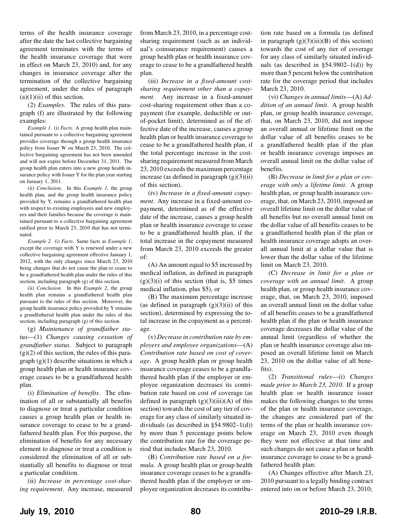terms of the health insurance coverage after the date the last collective bargaining agreement terminates with the terms of the health insurance coverage that were in effect on March 23, 2010) and, for any changes in insurance coverage after the termination of the collective bargaining agreement, under the rules of paragraph  $(a)(1)(ii)$  of this section.

(2) *Examples*. The rules of this paragraph (f) are illustrated by the following examples:

*Example 1*. (i) *Facts*. A group health plan maintained pursuant to a collective bargaining agreement provides coverage through a group health insurance policy from Issuer W on March 23, 2010. The collective bargaining agreement has not been amended and will not expire before December 31, 2011. The group health plan enters into a new group health insurance policy with Issuer Y for the plan year starting on January 1, 2011.

(ii) *Conclusion*. In this *Example 1*, the group health plan, and the group health insurance policy provided by Y, remains a grandfathered health plan with respect to existing employees and new employees and their families because the coverage is maintained pursuant to a collective bargaining agreement ratified prior to March 23, 2010 that has not terminated.

*Example 2*. (i) *Facts*. Same facts as *Example 1*, except the coverage with Y is renewed under a new collective bargaining agreement effective January 1, 2012, with the only changes since March 23, 2010 being changes that do not cause the plan to cease to be a grandfathered health plan under the rules of this section, including paragraph (g) of this section.

(ii) *Conclusion*. In this *Example 2*, the group health plan remains a grandfathered health plan pursuant to the rules of this section. Moreover, the group health insurance policy provided by Y remains a grandfathered health plan under the rules of this section, including paragraph (g) of this section.

(g) *Maintenance of grandfather status*—(1) *Changes causing cessation of grandfather status*. Subject to paragraph  $(g)(2)$  of this section, the rules of this paragraph  $(g)(1)$  describe situations in which a group health plan or health insurance coverage ceases to be a grandfathered health plan.

(i) *Elimination of benefits*. The elimination of all or substantially all benefits to diagnose or treat a particular condition causes a group health plan or health insurance coverage to cease to be a grandfathered health plan. For this purpose, the elimination of benefits for any necessary element to diagnose or treat a condition is considered the elimination of all or substantially all benefits to diagnose or treat a particular condition.

(ii) *Increase in percentage cost-sharing requirement*. Any increase, measured from March 23, 2010, in a percentage costsharing requirement (such as an individual's coinsurance requirement) causes a group health plan or health insurance coverage to cease to be a grandfathered health plan.

(iii) *Increase in a fixed-amount costsharing requirement other than a copayment.* Any increase in a fixed-amount cost-sharing requirement other than a copayment (for example, deductible or outof-pocket limit), determined as of the effective date of the increase, causes a group health plan or health insurance coverage to cease to be a grandfathered health plan, if the total percentage increase in the costsharing requirement measured from March 23, 2010 exceeds the maximum percentage increase (as defined in paragraph  $(g)(3)(ii)$ ) of this section).

(iv) *Increase in a fixed-amount copayment*. Any increase in a fixed-amount copayment, determined as of the effective date of the increase, causes a group health plan or health insurance coverage to cease to be a grandfathered health plan, if the total increase in the copayment measured from March 23, 2010 exceeds the greater of:

(A) An amount equal to \$5 increased by medical inflation, as defined in paragraph  $(g)(3)(i)$  of this section (that is, \$5 times medical inflation, plus \$5), or

(B) The maximum percentage increase (as defined in paragraph  $(g)(3)(ii)$  of this section), determined by expressing the total increase in the copayment as a percentage.

(v) *Decrease in contribution rate by employers and employee organizations*—(A) *Contribution rate based on cost of coverage*. A group health plan or group health insurance coverage ceases to be a grandfathered health plan if the employer or employee organization decreases its contribution rate based on cost of coverage (as defined in paragraph  $(g)(3)(iii)(A)$  of this section) towards the cost of any tier of coverage for any class of similarly situated individuals (as described in §54.9802–1(d)) by more than 5 percentage points below the contribution rate for the coverage period that includes March 23, 2010.

(B) *Contribution rate based on a formula*. A group health plan or group health insurance coverage ceases to be a grandfathered health plan if the employer or employee organization decreases its contribution rate based on a formula (as defined in paragraph  $(g)(3)(iii)(B)$  of this section) towards the cost of any tier of coverage for any class of similarly situated individuals (as described in  $\S 54.9802 - 1(d)$ ) by more than 5 percent below the contribution rate for the coverage period that includes March 23, 2010.

(vi) *Changes in annual limits*—(A) *Addition of an annual limit*. A group health plan, or group health insurance coverage, that, on March 23, 2010, did not impose an overall annual or lifetime limit on the dollar value of all benefits ceases to be a grandfathered health plan if the plan or health insurance coverage imposes an overall annual limit on the dollar value of benefits.

(B) *Decrease in limit for a plan or coverage with only a lifetime limit*. A group health plan, or group health insurance coverage, that, on March 23, 2010, imposed an overall lifetime limit on the dollar value of all benefits but no overall annual limit on the dollar value of all benefits ceases to be a grandfathered health plan if the plan or health insurance coverage adopts an overall annual limit at a dollar value that is lower than the dollar value of the lifetime limit on March 23, 2010.

(C) *Decrease in limit for a plan or coverage with an annual limit*. A group health plan, or group health insurance coverage, that, on March 23, 2010, imposed an overall annual limit on the dollar value of all benefits ceases to be a grandfathered health plan if the plan or health insurance coverage decreases the dollar value of the annual limit (regardless of whether the plan or health insurance coverage also imposed an overall lifetime limit on March 23, 2010 on the dollar value of all benefits).

(2) *Transitional rules*—(i) *Changes made prior to March 23, 2010*. If a group health plan or health insurance issuer makes the following changes to the terms of the plan or health insurance coverage, the changes are considered part of the terms of the plan or health insurance coverage on March 23, 2010 even though they were not effective at that time and such changes do not cause a plan or health insurance coverage to cease to be a grandfathered health plan:

(A) Changes effective after March 23, 2010 pursuant to a legally binding contract entered into on or before March 23, 2010;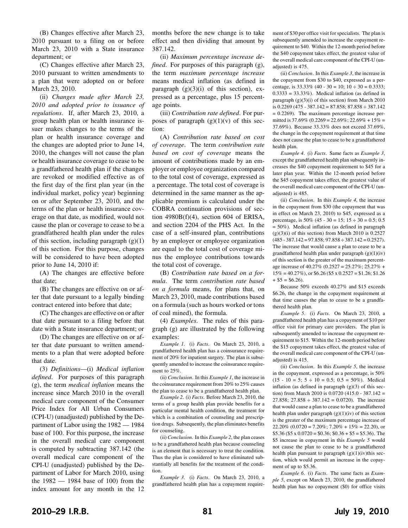(B) Changes effective after March 23, 2010 pursuant to a filing on or before March 23, 2010 with a State insurance department; or

(C) Changes effective after March 23, 2010 pursuant to written amendments to a plan that were adopted on or before March 23, 2010.

(ii) *Changes made after March 23, 2010 and adopted prior to issuance of regulations*. If, after March 23, 2010, a group health plan or health insurance issuer makes changes to the terms of the plan or health insurance coverage and the changes are adopted prior to June 14, 2010, the changes will not cause the plan or health insurance coverage to cease to be a grandfathered health plan if the changes are revoked or modified effective as of the first day of the first plan year (in the individual market, policy year) beginning on or after September 23, 2010, and the terms of the plan or health insurance coverage on that date, as modified, would not cause the plan or coverage to cease to be a grandfathered health plan under the rules of this section, including paragraph  $(g)(1)$ of this section. For this purpose, changes will be considered to have been adopted prior to June 14, 2010 if:

(A) The changes are effective before that date;

(B) The changes are effective on or after that date pursuant to a legally binding contract entered into before that date;

(C) The changes are effective on or after that date pursuant to a filing before that date with a State insurance department; or

(D) The changes are effective on or after that date pursuant to written amendments to a plan that were adopted before that date.

(3) *Definitions*—(i) *Medical inflation defined*. For purposes of this paragraph (g), the term *medical inflation* means the increase since March 2010 in the overall medical care component of the Consumer Price Index for All Urban Consumers (CPI-U) (unadjusted) published by the Department of Labor using the 1982 — 1984 base of 100. For this purpose, the increase in the overall medical care component is computed by subtracting 387.142 (the overall medical care component of the CPI-U (unadjusted) published by the Department of Labor for March 2010, using the 1982 — 1984 base of 100) from the index amount for any month in the 12

months before the new change is to take effect and then dividing that amount by 387.142.

(ii) *Maximum percentage increase defined*. For purposes of this paragraph (g), the term *maximum percentage increase* means medical inflation (as defined in paragraph  $(g)(3)(i)$  of this section), expressed as a percentage, plus 15 percentage points.

(iii) *Contribution rate defined*. For purposes of paragraph  $(g)(1)(v)$  of this section:

(A) *Contribution rate based on cost of coverage*. The term *contribution rate based on cost of coverage* means the amount of contributions made by an employer or employee organization compared to the total cost of coverage, expressed as a percentage. The total cost of coverage is determined in the same manner as the applicable premium is calculated under the COBRA continuation provisions of section  $4980B(f)(4)$ , section 604 of ERISA, and section 2204 of the PHS Act. In the case of a self-insured plan, contributions by an employer or employee organization are equal to the total cost of coverage minus the employee contributions towards the total cost of coverage.

(B) *Contribution rate based on a formula*. The term *contribution rate based on a formula* means, for plans that, on March 23, 2010, made contributions based on a formula (such as hours worked or tons of coal mined), the formula.

(4) *Examples*. The rules of this paragraph (g) are illustrated by the following examples:

*Example 1*. (i) *Facts*. On March 23, 2010, a grandfathered health plan has a coinsurance requirement of 20% for inpatient surgery. The plan is subsequently amended to increase the coinsurance requirement to 25%.

(ii) *Conclusion*. In this *Example 1*, the increase in the coinsurance requirement from 20% to 25% causes the plan to cease to be a grandfathered health plan.

*Example 2*. (i) *Facts*. Before March 23, 2010, the terms of a group health plan provide benefits for a particular mental health condition, the treatment for which is a combination of counseling and prescription drugs. Subsequently, the plan eliminates benefits for counseling.

(ii) *Conclusion*. In this *Example 2*, the plan ceases to be a grandfathered health plan because counseling is an element that is necessary to treat the condition. Thus the plan is considered to have eliminated substantially all benefits for the treatment of the condition.

*Example 3*. (i) *Facts*. On March 23, 2010, a grandfathered health plan has a copayment requirement of \$30 per office visit for specialists. The plan is subsequently amended to increase the copayment requirement to \$40. Within the 12-month period before the \$40 copayment takes effect, the greatest value of the overall medical care component of the CPI-U (unadjusted) is 475.

(ii) *Conclusion*. In this *Example 3*, the increase in the copayment from \$30 to \$40, expressed as a percentage, is  $33.33\%$  (40 - 30 = 10; 10 ÷ 30 = 0.3333;  $0.3333 = 33.33\%$ ). Medical inflation (as defined in paragraph  $(g)(3)(i)$  of this section) from March 2010 is  $0.2269$  (475 - 387.142 = 87.858; 87.858  $\div$  387.142 = 0.2269). The maximum percentage increase permitted is 37.69% (0.2269 = 22.69%; 22.69% +  $15%$  = 37.69%). Because 33.33% does not exceed 37.69%, the change in the copayment requirement at that time does not cause the plan to cease to be a grandfathered health plan.

*Example 4*. (i) *Facts*. Same facts as *Example 3*, except the grandfathered health plan subsequently increases the \$40 copayment requirement to \$45 for a later plan year. Within the 12-month period before the \$45 copayment takes effect, the greatest value of the overall medical care component of the CPI-U (unadjusted) is 485.

(ii) *Conclusion*. In this *Example 4*, the increase in the copayment from \$30 (the copayment that was in effect on March 23, 2010) to \$45, expressed as a percentage, is  $50\%$  (45 - 30 = 15; 15 ÷ 30 = 0.5; 0.5 = 50%). Medical inflation (as defined in paragraph  $(g)(3)(i)$  of this section) from March 2010 is 0.2527  $(485 - 387.142 = 97.858; 97.858 \div 387.142 = 0.2527).$ The increase that would cause a plan to cease to be a grandfathered health plan under paragraph (g)(1)(iv) of this section is the greater of the maximum percentage increase of 40.27% (0.2527 = 25.27%; 25.27% +  $15\% = 40.27\%$ , or \$6.26 (\$5 x 0.2527 = \$1.26; \$1.26)  $+$  \$5 = \$6.26).

Because 50% exceeds 40.27% and \$15 exceeds \$6.26, the change in the copayment requirement at that time causes the plan to cease to be a grandfathered health plan.

*Example 5*. (i) *Facts*. On March 23, 2010, a grandfathered health plan has a copayment of \$10 per office visit for primary care providers. The plan is subsequently amended to increase the copayment requirement to \$15. Within the 12-month period before the \$15 copayment takes effect, the greatest value of the overall medical care component of the CPI-U (unadjusted) is 415.

(ii) *Conclusion*. In this *Example 5*, the increase in the copayment, expressed as a percentage, is 50%  $(15 - 10 = 5; 5 \div 10 = 0.5; 0.5 = 50\%)$ . Medical inflation (as defined in paragraph  $(g)(3)$  of this section) from March 2010 is  $0.0720$  (415.0 - 387.142 = 27.858; 27.858  $\div$  387.142 = 0.0720). The increase that would cause a plan to cease to be a grandfathered health plan under paragraph  $(g)(1)(iv)$  of this section is the greater of the maximum percentage increase of  $22.20\%$  (0.0720 = 7.20%; 7.20% + 15% = 22.20), or  $$5.36 ($5 \times 0.0720 = $0.36; $0.36 + $5 = $5.36)$ . The \$5 increase in copayment in this *Example 5* would not cause the plan to cease to be a grandfathered health plan pursuant to paragraph  $(g)(1)(iv)$ this section, which would permit an increase in the copayment of up to \$5.36.

*Example 6*. (i) *Facts*. The same facts as *Example 5*, except on March 23, 2010, the grandfathered health plan has no copayment (\$0) for office visits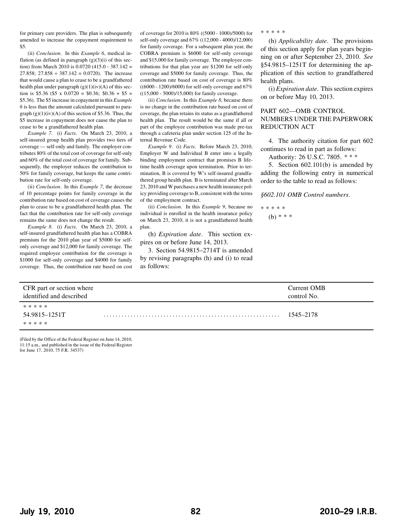for primary care providers. The plan is subsequently amended to increase the copayment requirement to \$5.

(ii) *Conclusion*. In this *Example 6*, medical inflation (as defined in paragraph  $(g)(3)(i)$  of this section) from March 2010 is 0.0720 (415.0 - 387.142 = 27.858; 27.858  $\div$  387.142 = 0.0720). The increase that would cause a plan to cease to be a grandfathered health plan under paragraph (g)(1)(iv)(A) of this section is \$5.36 (\$5 x 0.0720 = \$0.36; \$0.36 + \$5 = \$5.36). The \$5 increase in copayment in this *Example 6* is less than the amount calculated pursuant to paragraph  $(g)(1)(iv)(A)$  of this section of \$5.36. Thus, the \$5 increase in copayment does not cause the plan to cease to be a grandfathered health plan.

*Example 7*. (i) *Facts*. On March 23, 2010, a self-insured group health plan provides two tiers of coverage — self-only and family. The employer contributes 80% of the total cost of coverage for self-only and 60% of the total cost of coverage for family. Subsequently, the employer reduces the contribution to 50% for family coverage, but keeps the same contribution rate for self-only coverage.

(ii) *Conclusion*. In this *Example 7*, the decrease of 10 percentage points for family coverage in the contribution rate based on cost of coverage causes the plan to cease to be a grandfathered health plan. The fact that the contribution rate for self-only coverage remains the same does not change the result.

*Example 8*. (i) *Facts*. On March 23, 2010, a self-insured grandfathered health plan has a COBRA premium for the 2010 plan year of \$5000 for selfonly coverage and \$12,000 for family coverage. The required employee contribution for the coverage is \$1000 for self-only coverage and \$4000 for family coverage. Thus, the contribution rate based on cost

of coverage for 2010 is 80% ((5000 - 1000)/5000) for self-only coverage and 67% ((12,000 - 4000)/12,000) for family coverage. For a subsequent plan year, the COBRA premium is \$6000 for self-only coverage and \$15,000 for family coverage. The employee contributions for that plan year are \$1200 for self-only coverage and \$5000 for family coverage. Thus, the contribution rate based on cost of coverage is 80% ((6000 - 1200)/6000) for self-only coverage and 67% ((15,000 - 5000)/15,000) for family coverage.

(ii) *Conclusion*. In this *Example 8*, because there is no change in the contribution rate based on cost of coverage, the plan retains its status as a grandfathered health plan. The result would be the same if all or part of the employee contribution was made pre-tax through a cafeteria plan under section 125 of the Internal Revenue Code.

*Example 9*. (i) *Facts*. Before March 23, 2010, Employer W and Individual B enter into a legally binding employment contract that promises B lifetime health coverage upon termination. Prior to termination, B is covered by W's self-insured grandfathered group health plan. B is terminated after March 23, 2010 and W purchases a new health insurance policy providing coverage to B, consistent with the terms of the employment contract.

(ii) *Conclusion*. In this *Example 9*, because no individual is enrolled in the health insurance policy on March 23, 2010, it is not a grandfathered health plan.

(h) *Expiration date*. This section expires on or before June 14, 2013.

3. Section 54.9815–2714T is amended by revising paragraphs (h) and (i) to read as follows:

\*\*\*\*\*

(h) *Applicability date*. The provisions of this section apply for plan years beginning on or after September 23, 2010. *See* §54.9815–1251T for determining the application of this section to grandfathered health plans.

(i) *Expiration date*. This section expires on or before May 10, 2013.

#### PART 602—OMB CONTROL NUMBERS UNDER THE PAPERWORK REDUCTION ACT

4. The authority citation for part 602 continues to read in part as follows:

Authority: 26 U.S.C. 7805. \* \* \*

5. Section 602.101(b) is amended by adding the following entry in numerical order to the table to read as follows:

*§602.101 OMB Control numbers*.

\*\*\*\*\* (b) \* \* \*

| CFR part or section where<br>identified and described | Current OMB<br>control No. |
|-------------------------------------------------------|----------------------------|
| * * * * *                                             |                            |
| 54.9815–1251T<br>* * * * *                            | 1545–2178                  |

(Filed by the Office of the Federal Register on June 14, 2010, 11:15 a.m., and published in the issue of the Federal Register for June 17, 2010, 75 F.R. 34537)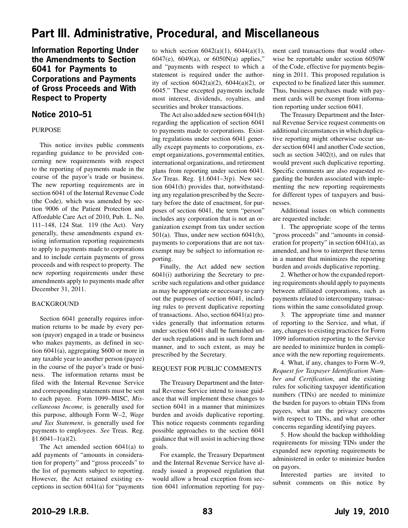# <span id="page-30-0"></span>**Part III. Administrative, Procedural, and Miscellaneous**

**Information Reporting Under the Amendments to Section 6041 for Payments to Corporations and Payments of Gross Proceeds and With Respect to Property**

## **Notice 2010–51**

#### PURPOSE

This notice invites public comments regarding guidance to be provided concerning new requirements with respect to the reporting of payments made in the course of the payor's trade or business. The new reporting requirements are in section 6041 of the Internal Revenue Code (the Code), which was amended by section 9006 of the Patient Protection and Affordable Care Act of 2010, Pub. L. No. 111–148, 124 Stat. 119 (the Act). Very generally, these amendments expand existing information reporting requirements to apply to payments made to corporations and to include certain payments of gross proceeds and with respect to property. The new reporting requirements under these amendments apply to payments made after December 31, 2011.

#### BACKGROUND

Section 6041 generally requires information returns to be made by every person (payor) engaged in a trade or business who makes payments, as defined in section 6041(a), aggregating \$600 or more in any taxable year to another person (payee) in the course of the payor's trade or business. The information returns must be filed with the Internal Revenue Service and corresponding statements must be sent to each payee. Form 1099–MISC, *Miscellaneous Income,* is generally used for this purpose, although Form W–2, *Wage and Tax Statement*, is generally used for payments to employees. *See* Treas. Reg.  $§1.6041-1(a)(2).$ 

The Act amended section 6041(a) to add payments of "amounts in consideration for property" and "gross proceeds" to the list of payments subject to reporting. However, the Act retained existing exceptions in section 6041(a) for "payments

to which section  $6042(a)(1)$ ,  $6044(a)(1)$ , 6047(e), 6049(a), or 6050N(a) applies," and "payments with respect to which a statement is required under the authority of section  $6042(a)(2)$ ,  $6044(a)(2)$ , or 6045." These excepted payments include most interest, dividends, royalties, and securities and broker transactions.

The Act also added new section 6041(h) regarding the application of section 6041 to payments made to corporations. Existing regulations under section 6041 generally except payments to corporations, exempt organizations, governmental entities, international organizations, and retirement plans from reporting under section 6041. *See* Treas. Reg. §1.6041–3(p). New section 6041(h) provides that, notwithstanding any regulation prescribed by the Secretary before the date of enactment, for purposes of section 6041, the term "person" includes any corporation that is not an organization exempt from tax under section 501(a). Thus, under new section 6041(h), payments to corporations that are not taxexempt may be subject to information reporting.

Finally, the Act added new section 6041(i) authorizing the Secretary to prescribe such regulations and other guidance as may be appropriate or necessary to carry out the purposes of section 6041, including rules to prevent duplicative reporting of transactions. Also, section 6041(a) provides generally that information returns under section 6041 shall be furnished under such regulations and in such form and manner, and to such extent, as may be prescribed by the Secretary.

#### REQUEST FOR PUBLIC COMMENTS

The Treasury Department and the Internal Revenue Service intend to issue guidance that will implement these changes to section 6041 in a manner that minimizes burden and avoids duplicative reporting. This notice requests comments regarding possible approaches to the section 6041 guidance that will assist in achieving those goals.

For example, the Treasury Department and the Internal Revenue Service have already issued a proposed regulation that would allow a broad exception from section 6041 information reporting for payment card transactions that would otherwise be reportable under section 6050W of the Code, effective for payments beginning in 2011. This proposed regulation is expected to be finalized later this summer. Thus, business purchases made with payment cards will be exempt from information reporting under section 6041.

The Treasury Department and the Internal Revenue Service request comments on additional circumstances in which duplicative reporting might otherwise occur under section 6041 and another Code section, such as section 3402(t), and on rules that would prevent such duplicative reporting. Specific comments are also requested regarding the burden associated with implementing the new reporting requirements for different types of taxpayers and businesses.

Additional issues on which comments are requested include:

1. The appropriate scope of the terms "gross proceeds" and "amounts in consideration for property" in section 6041(a), as amended, and how to interpret these terms in a manner that minimizes the reporting burden and avoids duplicative reporting.

2. Whether or how the expanded reporting requirements should apply to payments between affiliated corporations, such as payments related to intercompany transactions within the same consolidated group.

3. The appropriate time and manner of reporting to the Service, and what, if any, changes to existing practices for Form 1099 information reporting to the Service are needed to minimize burden in compliance with the new reporting requirements.

4. What, if any, changes to Form W–9, *Request for Taxpayer Identification Number and Certification*, and the existing rules for soliciting taxpayer identification numbers (TINs) are needed to minimize the burden for payors to obtain TINs from payees, what are the privacy concerns with respect to TINs, and what are other concerns regarding identifying payees.

5. How should the backup withholding requirements for missing TINs under the expanded new reporting requirements be administered in order to minimize burden on payors.

Interested parties are invited to submit comments on this notice by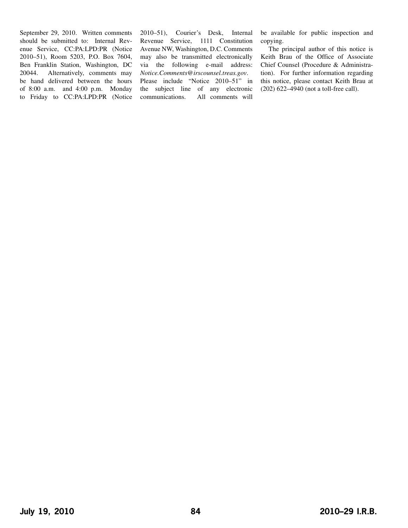September 29, 2010. Written comments should be submitted to: Internal Revenue Service, CC:PA:LPD:PR (Notice 2010–51), Room 5203, P.O. Box 7604, Ben Franklin Station, Washington, DC 20044. Alternatively, comments may be hand delivered between the hours of 8:00 a.m. and 4:00 p.m. Monday to Friday to CC:PA:LPD:PR (Notice 2010–51), Courier's Desk, Internal Revenue Service, 1111 Constitution Avenue NW, Washington, D.C. Comments may also be transmitted electronically via the following e-mail address: *Notice.Comments@irscounsel.treas.gov*. Please include "Notice 2010–51" in the subject line of any electronic communications. All comments will

be available for public inspection and copying.

The principal author of this notice is Keith Brau of the Office of Associate Chief Counsel (Procedure & Administration). For further information regarding this notice, please contact Keith Brau at (202) 622–4940 (not a toll-free call).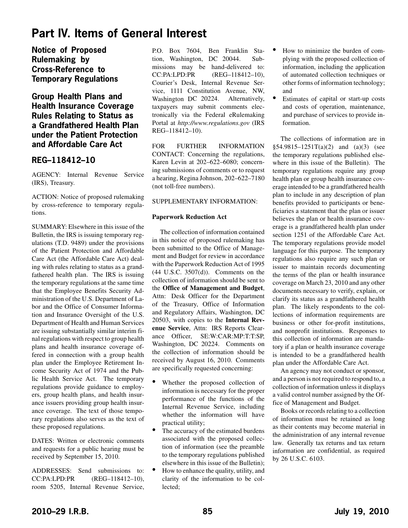# <span id="page-32-0"></span>**Part IV. Items of General Interest**

**Notice of Proposed Rulemaking by Cross-Reference to Temporary Regulations**

## **Group Health Plans and Health Insurance Coverage Rules Relating to Status as a Grandfathered Health Plan under the Patient Protection and Affordable Care Act**

## **REG–118412–10**

AGENCY: Internal Revenue Service (IRS), Treasury.

ACTION: Notice of proposed rulemaking by cross-reference to temporary regulations.

SUMMARY: Elsewhere in this issue of the Bulletin, the IRS is issuing temporary regulations (T.D. 9489) under the provisions of the Patient Protection and Affordable Care Act (the Affordable Care Act) dealing with rules relating to status as a grandfathered health plan. The IRS is issuing the temporary regulations at the same time that the Employee Benefits Security Administration of the U.S. Department of Labor and the Office of Consumer Information and Insurance Oversight of the U.S. Department of Health and Human Services are issuing substantially similar interim final regulations with respect to group health plans and health insurance coverage offered in connection with a group health plan under the Employee Retirement Income Security Act of 1974 and the Public Health Service Act. The temporary regulations provide guidance to employers, group health plans, and health insurance issuers providing group health insurance coverage. The text of those temporary regulations also serves as the text of these proposed regulations.

DATES: Written or electronic comments and requests for a public hearing must be received by September 15, 2010.

ADDRESSES: Send submissions to: CC:PA:LPD:PR (REG–118412–10), room 5205, Internal Revenue Service, P.O. Box 7604, Ben Franklin Station, Washington, DC 20044. Submissions may be hand-delivered to: CC:PA:LPD:PR (REG–118412–10), Courier's Desk, Internal Revenue Service, 1111 Constitution Avenue, NW, Washington DC 20224. Alternatively, taxpayers may submit comments electronically via the Federal eRulemaking Portal at *http://www.regulations.gov* (IRS REG–118412–10).

FOR FURTHER INFORMATION CONTACT: Concerning the regulations, Karen Levin at 202–622–6080; concerning submissions of comments or to request a hearing, Regina Johnson, 202–622–7180 (not toll-free numbers).

#### SUPPLEMENTARY INFORMATION:

#### **Paperwork Reduction Act**

The collection of information contained in this notice of proposed rulemaking has been submitted to the Office of Management and Budget for review in accordance with the Paperwork Reduction Act of 1995 (44 U.S.C. 3507(d)). Comments on the collection of information should be sent to the **Office of Management and Budget**, Attn: Desk Officer for the Department of the Treasury, Office of Information and Regulatory Affairs, Washington, DC 20503, with copies to the **Internal Revenue Service**, Attn: IRS Reports Clearance Officer, SE:W:CAR:MP:T:T:SP, Washington, DC 20224. Comments on the collection of information should be received by August 16, 2010. Comments are specifically requested concerning:

- Whether the proposed collection of information is necessary for the proper performance of the functions of the Internal Revenue Service, including whether the information will have practical utility;
- The accuracy of the estimated burdens associated with the proposed collection of information (see the preamble to the temporary regulations published elsewhere in this issue of the Bulletin);
- How to enhance the quality, utility, and clarity of the information to be collected;
- How to minimize the burden of complying with the proposed collection of information, including the application of automated collection techniques or other forms of information technology; and
- Estimates of capital or start-up costs and costs of operation, maintenance, and purchase of services to provide information.

The collections of information are in  $$54.9815-1251T(a)(2)$  and  $(a)(3)$  (see the temporary regulations published elsewhere in this issue of the Bulletin). The temporary regulations require any group health plan or group health insurance coverage intended to be a grandfathered health plan to include in any description of plan benefits provided to participants or beneficiaries a statement that the plan or issuer believes the plan or health insurance coverage is a grandfathered health plan under section 1251 of the Affordable Care Act. The temporary regulations provide model language for this purpose. The temporary regulations also require any such plan or issuer to maintain records documenting the terms of the plan or health insurance coverage on March 23, 2010 and any other documents necessary to verify, explain, or clarify its status as a grandfathered health plan. The likely respondents to the collections of information requirements are business or other for-profit institutions, and nonprofit institutions. Responses to this collection of information are mandatory if a plan or health insurance coverage is intended to be a grandfathered health plan under the Affordable Care Act.

An agency may not conduct or sponsor, and a person is not required to respond to, a collection of information unless it displays a valid control number assigned by the Office of Management and Budget.

Books or records relating to a collection of information must be retained as long as their contents may become material in the administration of any internal revenue law. Generally tax returns and tax return information are confidential, as required by 26 U.S.C. 6103.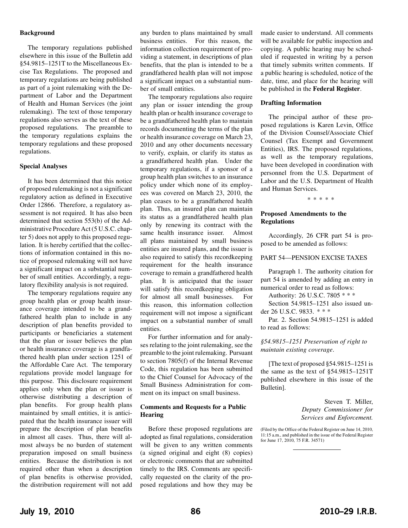#### **Background**

The temporary regulations published elsewhere in this issue of the Bulletin add §54.9815–1251T to the Miscellaneous Excise Tax Regulations. The proposed and temporary regulations are being published as part of a joint rulemaking with the Department of Labor and the Department of Health and Human Services (the joint rulemaking). The text of those temporary regulations also serves as the text of these proposed regulations. The preamble to the temporary regulations explains the temporary regulations and these proposed regulations.

#### **Special Analyses**

It has been determined that this notice of proposed rulemaking is not a significant regulatory action as defined in Executive Order 12866. Therefore, a regulatory assessment is not required. It has also been determined that section 553(b) of the Administrative Procedure Act (5 U.S.C. chapter 5) does not apply to this proposed regulation. It is hereby certified that the collections of information contained in this notice of proposed rulemaking will not have a significant impact on a substantial number of small entities. Accordingly, a regulatory flexibility analysis is not required.

The temporary regulations require any group health plan or group health insurance coverage intended to be a grandfathered health plan to include in any description of plan benefits provided to participants or beneficiaries a statement that the plan or issuer believes the plan or health insurance coverage is a grandfathered health plan under section 1251 of the Affordable Care Act. The temporary regulations provide model language for this purpose. This disclosure requirement applies only when the plan or issuer is otherwise distributing a description of plan benefits. For group health plans maintained by small entities, it is anticipated that the health insurance issuer will prepare the description of plan benefits in almost all cases. Thus, there will almost always be no burden of statement preparation imposed on small business entities. Because the distribution is not required other than when a description of plan benefits is otherwise provided, the distribution requirement will not add

any burden to plans maintained by small business entities. For this reason, the information collection requirement of providing a statement, in descriptions of plan benefits, that the plan is intended to be a grandfathered health plan will not impose a significant impact on a substantial number of small entities.

The temporary regulations also require any plan or issuer intending the group health plan or health insurance coverage to be a grandfathered health plan to maintain records documenting the terms of the plan or health insurance coverage on March 23, 2010 and any other documents necessary to verify, explain, or clarify its status as a grandfathered health plan. Under the temporary regulations, if a sponsor of a group health plan switches to an insurance policy under which none of its employees was covered on March 23, 2010, the plan ceases to be a grandfathered health plan. Thus, an insured plan can maintain its status as a grandfathered health plan only by renewing its contract with the same health insurance issuer. Almost all plans maintained by small business entities are insured plans, and the issuer is also required to satisfy this recordkeeping requirement for the health insurance coverage to remain a grandfathered health plan. It is anticipated that the issuer will satisfy this recordkeeping obligation for almost all small businesses. For this reason, this information collection requirement will not impose a significant impact on a substantial number of small entities.

For further information and for analyses relating to the joint rulemaking, see the preamble to the joint rulemaking. Pursuant to section 7805(f) of the Internal Revenue Code, this regulation has been submitted to the Chief Counsel for Advocacy of the Small Business Administration for comment on its impact on small business.

#### **Comments and Requests for a Public Hearing**

Before these proposed regulations are adopted as final regulations, consideration will be given to any written comments (a signed original and eight (8) copies) or electronic comments that are submitted timely to the IRS. Comments are specifically requested on the clarity of the proposed regulations and how they may be made easier to understand. All comments will be available for public inspection and copying. A public hearing may be scheduled if requested in writing by a person that timely submits written comments. If a public hearing is scheduled, notice of the date, time, and place for the hearing will be published in the **Federal Register**.

#### **Drafting Information**

The principal author of these proposed regulations is Karen Levin, Office of the Division Counsel/Associate Chief Counsel (Tax Exempt and Government Entities), IRS. The proposed regulations, as well as the temporary regulations, have been developed in coordination with personnel from the U.S. Department of Labor and the U.S. Department of Health and Human Services.

\*\*\*\*\*

#### **Proposed Amendments to the Regulations**

Accordingly, 26 CFR part 54 is proposed to be amended as follows:

#### PART 54—PENSION EXCISE TAXES

Paragraph 1. The authority citation for part 54 is amended by adding an entry in numerical order to read as follows:

Authority: 26 U.S.C. 7805 \* \* \*

Section 54.9815–1251 also issued under 26 U.S.C. 9833. \* \* \*

Par. 2. Section 54.9815–1251 is added to read as follows:

#### *§54.9815–1251 Preservation of right to maintain existing coverage*.

[The text of proposed §54.9815–1251 is the same as the text of §54.9815–1251T published elsewhere in this issue of the Bulletin].

> Steven T. Miller, *Deputy Commissioner for Services and Enforcement.*

(Filed by the Office of the Federal Register on June 14, 2010, 11:15 a.m., and published in the issue of the Federal Register for June 17, 2010, 75 F.R. 34571)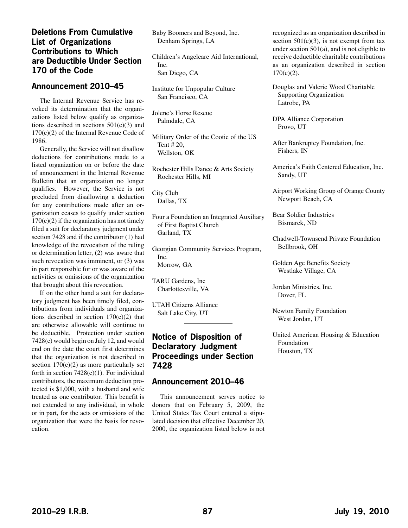## <span id="page-34-0"></span>**Deletions From Cumulative List of Organizations Contributions to Which are Deductible Under Section 170 of the Code**

### **Announcement 2010–45**

The Internal Revenue Service has revoked its determination that the organizations listed below qualify as organizations described in sections  $501(c)(3)$  and 170(c)(2) of the Internal Revenue Code of 1986.

Generally, the Service will not disallow deductions for contributions made to a listed organization on or before the date of announcement in the Internal Revenue Bulletin that an organization no longer qualifies. However, the Service is not precluded from disallowing a deduction for any contributions made after an organization ceases to qualify under section  $170(c)(2)$  if the organization has not timely filed a suit for declaratory judgment under section 7428 and if the contributor (1) had knowledge of the revocation of the ruling or determination letter, (2) was aware that such revocation was imminent, or (3) was in part responsible for or was aware of the activities or omissions of the organization that brought about this revocation.

If on the other hand a suit for declaratory judgment has been timely filed, contributions from individuals and organizations described in section  $170(c)(2)$  that are otherwise allowable will continue to be deductible. Protection under section 7428(c) would begin on July 12, and would end on the date the court first determines that the organization is not described in section  $170(c)(2)$  as more particularly set forth in section  $7428(c)(1)$ . For individual contributors, the maximum deduction protected is \$1,000, with a husband and wife treated as one contributor. This benefit is not extended to any individual, in whole or in part, for the acts or omissions of the organization that were the basis for revocation.

Baby Boomers and Beyond, Inc. Denham Springs, LA

Children's Angelcare Aid International, Inc. San Diego, CA

Institute for Unpopular Culture San Francisco, CA

Jolene's Horse Rescue Palmdale, CA

Military Order of the Cootie of the US Tent # 20, Wellston, OK

Rochester Hills Dance & Arts Society Rochester Hills, MI

City Club Dallas, TX

Four a Foundation an Integrated Auxiliary of First Baptist Church Garland, TX

Georgian Community Services Program, Inc. Morrow, GA

TARU Gardens, Inc Charlottesville, VA

UTAH Citizens Alliance Salt Lake City, UT

## **Notice of Disposition of Declaratory Judgment Proceedings under Section 7428**

## **Announcement 2010–46**

This announcement serves notice to donors that on February 5, 2009, the United States Tax Court entered a stipulated decision that effective December 20, 2000, the organization listed below is not recognized as an organization described in section  $501(c)(3)$ , is not exempt from tax under section  $501(a)$ , and is not eligible to receive deductible charitable contributions as an organization described in section 170(c)(2).

Douglas and Valerie Wood Charitable Supporting Organization Latrobe, PA

DPA Alliance Corporation Provo, UT

After Bankruptcy Foundation, Inc. Fishers, IN

America's Faith Centered Education, Inc. Sandy, UT

Airport Working Group of Orange County Newport Beach, CA

Bear Soldier Industries Bismarck, ND

Chadwell-Townsend Private Foundation Bellbrook, OH

Golden Age Benefits Society Westlake Village, CA

Jordan Ministries, Inc. Dover, FL

Newton Family Foundation West Jordan, UT

United American Housing & Education Foundation Houston, TX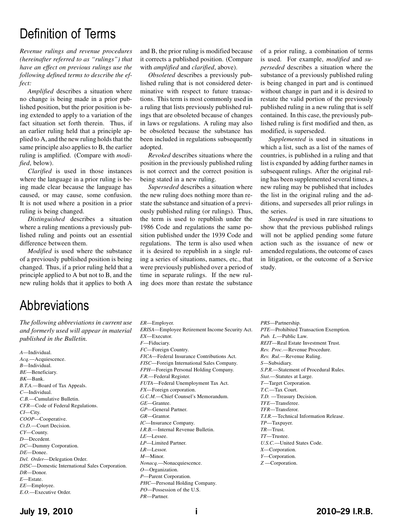# Definition of Terms

*Revenue rulings and revenue procedures (hereinafter referred to as "rulings") that have an effect on previous rulings use the following defined terms to describe the effect:*

*Amplified* describes a situation where no change is being made in a prior published position, but the prior position is being extended to apply to a variation of the fact situation set forth therein. Thus, if an earlier ruling held that a principle applied to A, and the new ruling holds that the same principle also applies to B, the earlier ruling is amplified. (Compare with *modified*, below).

*Clarified* is used in those instances where the language in a prior ruling is being made clear because the language has caused, or may cause, some confusion. It is not used where a position in a prior ruling is being changed.

*Distinguished* describes a situation where a ruling mentions a previously published ruling and points out an essential difference between them.

*Modified* is used where the substance of a previously published position is being changed. Thus, if a prior ruling held that a principle applied to A but not to B, and the new ruling holds that it applies to both A

and B, the prior ruling is modified because it corrects a published position. (Compare with *amplified* and *clarified*, above).

*Obsoleted* describes a previously published ruling that is not considered determinative with respect to future transactions. This term is most commonly used in a ruling that lists previously published rulings that are obsoleted because of changes in laws or regulations. A ruling may also be obsoleted because the substance has been included in regulations subsequently adopted.

*Revoked* describes situations where the position in the previously published ruling is not correct and the correct position is being stated in a new ruling.

*Superseded* describes a situation where the new ruling does nothing more than restate the substance and situation of a previously published ruling (or rulings). Thus, the term is used to republish under the 1986 Code and regulations the same position published under the 1939 Code and regulations. The term is also used when it is desired to republish in a single ruling a series of situations, names, etc., that were previously published over a period of time in separate rulings. If the new ruling does more than restate the substance

of a prior ruling, a combination of terms is used. For example, *modified* and *superseded* describes a situation where the substance of a previously published ruling is being changed in part and is continued without change in part and it is desired to restate the valid portion of the previously published ruling in a new ruling that is self contained. In this case, the previously published ruling is first modified and then, as modified, is superseded.

*Supplemented* is used in situations in which a list, such as a list of the names of countries, is published in a ruling and that list is expanded by adding further names in subsequent rulings. After the original ruling has been supplemented several times, a new ruling may be published that includes the list in the original ruling and the additions, and supersedes all prior rulings in the series.

*Suspended* is used in rare situations to show that the previous published rulings will not be applied pending some future action such as the issuance of new or amended regulations, the outcome of cases in litigation, or the outcome of a Service study.

# **Abbreviations**

*The following abbreviations in current use and formerly used will appear in material published in the Bulletin.*

- *A*—Individual. *Acq.*—Acquiescence. *B*—Individual. *BE*—Beneficiary. *BK*—Bank. *B.T.A.*—Board of Tax Appeals. *C*—Individual. *C.B.*—Cumulative Bulletin. *CFR*—Code of Federal Regulations. *CI*—City. *COOP*—Cooperative. *Ct.D.*—Court Decision. *CY*—County. *D*—Decedent. *DC*—Dummy Corporation. *DE*—Donee. *Del. Order*—Delegation Order. *DISC*—Domestic International Sales Corporation. *DR*—Donor. *E*—Estate. *EE*—Employee. *E.O.*—Executive Order.
- *ER*—Employer. *ERISA*—Employee Retirement Income Security Act. *EX*—Executor. *F*—Fiduciary. *FC*—Foreign Country. *FICA*—Federal Insurance Contributions Act. *FISC*—Foreign International Sales Company. *FPH*—Foreign Personal Holding Company. *F.R.*—Federal Register. *FUTA*—Federal Unemployment Tax Act. *FX*—Foreign corporation. *G.C.M.*—Chief Counsel's Memorandum. *GE*—Grantee. *GP*—General Partner. *GR*—Grantor. *IC*—Insurance Company. *I.R.B.*—Internal Revenue Bulletin. *LE*—Lessee. *LP*—Limited Partner. *LR*—Lessor. *M*—Minor. *Nonacq.*—Nonacquiescence. *O*—Organization. *P*—Parent Corporation. *PHC*—Personal Holding Company.
- *PRS*—Partnership. *PTE*—Prohibited Transaction Exemption. *Pub. L.*—Public Law. *REIT*—Real Estate Investment Trust. *Rev. Proc.*—Revenue Procedure. *Rev. Rul.*—Revenue Ruling. *S*—Subsidiary. *S.P.R.*—Statement of Procedural Rules. *Stat.*—Statutes at Large. *T*—Target Corporation. *T.C.*—Tax Court. *T.D.* —Treasury Decision. *TFE*—Transferee. *TFR*—Transferor. *T.I.R.*—Technical Information Release. *TP*—Taxpayer. *TR*—Trust. *TT*—Trustee. *U.S.C.*—United States Code. *X*—Corporation. *Y*—Corporation. *Z* —Corporation.

*PO*—Possession of the U.S.

*PR*—Partner.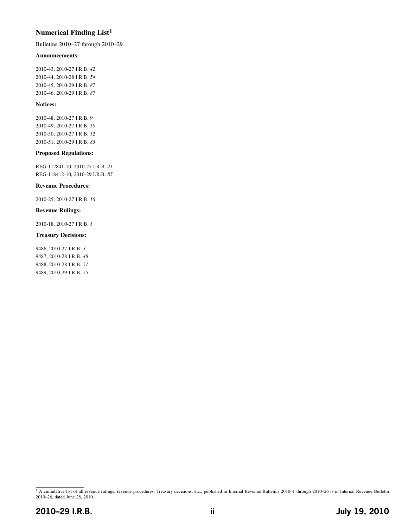### **Numerical Finding List1**

Bulletins 2010–27 through 2010–29

#### **Announcements:**

2010-43, 2010-27 I.R.B. *42* 2010-44, 2010-28 I.R.B. *54* 2010-45, 2010-29 I.R.B. *[87](#page-34-0)* 2010-46, 2010-29 I.R.B. *[87](#page-34-0)*

#### **Notices:**

2010-48, 2010-27 I.R.B. *9* 2010-49, 2010-27 I.R.B. *10* 2010-50, 2010-27 I.R.B. *12* 2010-51, 2010-29 I.R.B. *[83](#page-30-0)*

#### **Proposed Regulations:**

REG-112841-10, 2010-27 I.R.B. *41* REG-118412-10, 2010-29 I.R.B. *[85](#page-32-0)*

#### **Revenue Procedures:**

2010-25, 2010-27 I.R.B. *16*

#### **Revenue Rulings:**

2010-18, 2010-27 I.R.B. *1*

#### **Treasury Decisions:**

9486, 2010-27 I.R.B. *3* 9487, 2010-28 I.R.B. *48* 9488, 2010-28 I.R.B. *51* 9489, 2010-29 I.R.B. *[55](#page-2-0)*

<sup>&</sup>lt;sup>1</sup> A cumulative list of all revenue rulings, revenue procedures, Treasury decisions, etc., published in Internal Revenue Bulletins 2010-1 through 2010-26 is in Internal Revenue Bulletin 2010–26, dated June 28, 2010.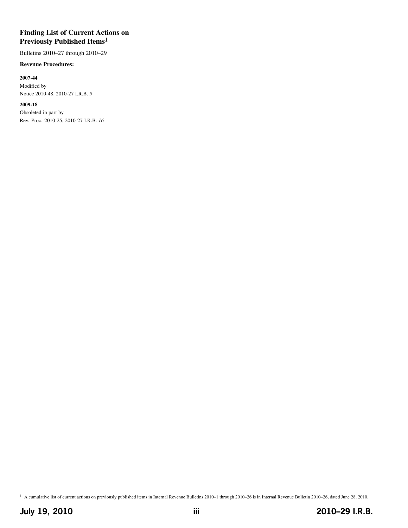### **Finding List of Current Actions on Previously Published Items1**

Bulletins 2010–27 through 2010–29

#### **Revenue Procedures:**

#### **2007-44**

Modified by Notice 2010-48, 2010-27 I.R.B. *9*

#### **2009-18**

Obsoleted in part by Rev. Proc. 2010-25, 2010-27 I.R.B. *16*

<sup>1</sup> A cumulative list of current actions on previously published items in Internal Revenue Bulletins 2010–1 through 2010–26 is in Internal Revenue Bulletin 2010–26, dated June 28, 2010.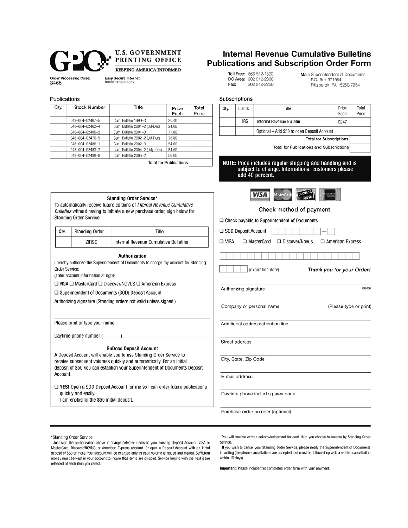

Standing Order Service.

Qty.

Order Service:

Standing Order

(enter account information at right)

Please print or type your name.

Daytime phone number (

quickly and easily.

I am enclosing the \$50 initial deposit.

ZIRSC



**Order Processing Code:** 3465

Easy Secure Internet:<br>bookstore.gpo.gov

#### Publications

| Qty. | <b>Stock Number</b> | Title                           | Price<br>Each | Total<br>Price |
|------|---------------------|---------------------------------|---------------|----------------|
|      | 048-004-02467-5     | Cum. Bulletin 1999-3            | 20.40         |                |
|      | 048-004-02462-4     | Cum. Bulletin 2001-2 (Jul-Dec)  | 24.00         |                |
|      | 048-004-02480-2     | Cum. Bulletin 2001-3            | 71.00         |                |
|      | 048-004-02470-5     | Cum. Bulletin 2002-2 (Jul-Dec)  | 28.80         |                |
|      | 048-004-02486-1     | Cum. Bulletin 2002-3            | 54.00         |                |
|      | 048-004-02483-7     | Cum. Bulletin 2004-2 (July-Dec) | 54.00         |                |
|      | 048-004-02488-8     | Cum. Bulletin 2005-2            | 56.00         |                |

Standing Order Service\* To automatically receive future editions of Internal Revenue Cumulative Bulletins without having to initiate a new purchase order, sign below for

Authorization I hereby authorize the Superintendent of Documents to charge my account for Standing

**SuDocs Deposit Account** 

□ YES! Open a SOD Deposit Account for me so I can order future publications

A Deposit Account will enable you to use Standing Order Service to receive subsequent volumes quickly and automatically. For an initial deposit of \$50 you can establish your Superintendent of Documents Deposit

 $\square$  VISA  $\square$  MasterCard  $\square$  Discover/NOVUS  $\square$  American Express □ Superintendent of Documents (SOD) Deposit Account Authorizing signature (Standing orders not valid unless signed.)

**Total for Publications** 

Title

Internal Revenue Cumulative Bulletins

### **Internal Revenue Cumulative Bulletins Publications and Subscription Order Form**

Toll Free: 866 512-1800 DC Area: 202 512-2800 Fax: 202 512-2250

Mail: Superintendent of Documents P.O. Box 371954 Pittsburgh, PA 15250-7954

| Qty.           | List ID               | Title                                                                                                                             | Price                          | Total |
|----------------|-----------------------|-----------------------------------------------------------------------------------------------------------------------------------|--------------------------------|-------|
|                | <b>IRS</b>            | Internal Revenue Bulletin                                                                                                         | Each<br>\$247                  | Price |
|                |                       |                                                                                                                                   |                                |       |
|                |                       | Optional - Add \$50 to open Deposit Account                                                                                       | <b>Total for Subscriptions</b> |       |
|                |                       | <b>Total for Publications and Subscriptions</b>                                                                                   |                                |       |
|                |                       | NOTE: Price includes regular shipping and handling and is<br>subject to change. International customers please<br>add 40 percent. |                                |       |
|                |                       | <b>DUCOVER</b><br>VISA<br><b>MasterCa</b><br>NetVUS                                                                               |                                |       |
|                |                       | Check method of payment:                                                                                                          |                                |       |
|                |                       | $\Box$ Check payable to Superintendent of Documents                                                                               |                                |       |
|                | SOD Deposit Account   |                                                                                                                                   |                                |       |
| $\square$ visa |                       | □ MasterCard<br>$\Box$ Discover/Novus                                                                                             | $\Box$ American Express        |       |
|                |                       |                                                                                                                                   |                                |       |
|                |                       |                                                                                                                                   |                                |       |
|                |                       | (expiration date)                                                                                                                 | Thank you for your Order!      |       |
|                | Authorizing signature |                                                                                                                                   |                                | 06/06 |
|                |                       | Company or personal name                                                                                                          | (Please type or print)         |       |
|                |                       | Additional address/attention line                                                                                                 |                                |       |
|                | Street address        |                                                                                                                                   |                                |       |
|                | City, State, Zip Code |                                                                                                                                   |                                |       |
|                | E-mail address        |                                                                                                                                   |                                |       |

\*Standing Order Service

Account.

Just sign the authorization above to charge selected items to your existing Deposit Account, VISA or MasterCard, Discover/NOVUS, or American Express account. Or open a Deposit Account with an initial deposit of \$50 or more. Your account will be charged only as each volume is issued and mailed. Sufficient money must be kept in your account to insure that items are shipped. Service begins with the next issue released of each item you select.

You will receive written acknowledgement for each item you choose to receive by Standing Order Service.

If you wish to cancel your Standing Order Service, please notify the Superintendent of Documents in writing (telephone cancellations are accepted, but must be followed up with a written cancellation within 10 days).

Important: Please include this completed order form with your payment.